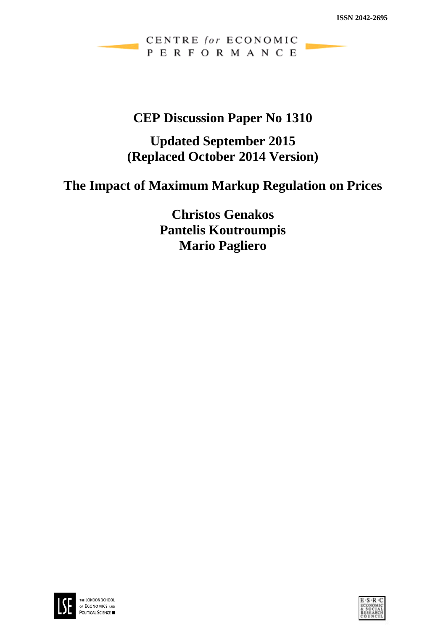CENTRE for ECONOMIC PERFORMANCE

## **CEP Discussion Paper No 1310**

## **Updated September 2015 (Replaced October 2014 Version)**

# **The Impact of Maximum Markup Regulation on Prices**

**Christos Genakos Pantelis Koutroumpis Mario Pagliero**



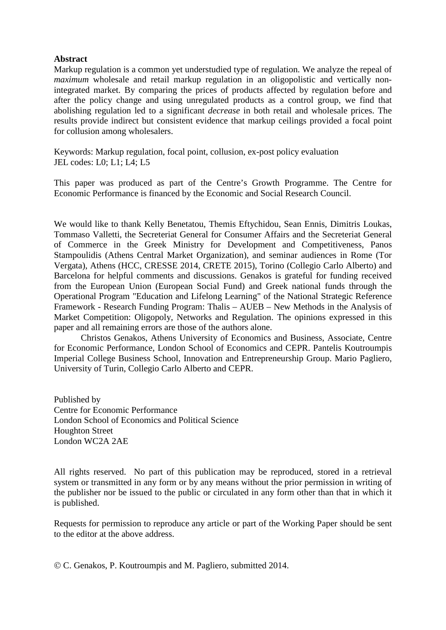### **Abstract**

Markup regulation is a common yet understudied type of regulation. We analyze the repeal of *maximum* wholesale and retail markup regulation in an oligopolistic and vertically nonintegrated market. By comparing the prices of products affected by regulation before and after the policy change and using unregulated products as a control group, we find that abolishing regulation led to a significant *decrease* in both retail and wholesale prices. The results provide indirect but consistent evidence that markup ceilings provided a focal point for collusion among wholesalers.

Keywords: Markup regulation, focal point, collusion, ex-post policy evaluation JEL codes: L0; L1; L4; L5

This paper was produced as part of the Centre's Growth Programme. The Centre for Economic Performance is financed by the Economic and Social Research Council.

We would like to thank Kelly Benetatou, Themis Eftychidou, Sean Ennis, Dimitris Loukas, Tommaso Valletti, the Secreteriat General for Consumer Affairs and the Secreteriat General of Commerce in the Greek Ministry for Development and Competitiveness, Panos Stampoulidis (Athens Central Market Organization), and seminar audiences in Rome (Tor Vergata), Athens (HCC, CRESSE 2014, CRETE 2015), Torino (Collegio Carlo Alberto) and Barcelona for helpful comments and discussions. Genakos is grateful for funding received from the European Union (European Social Fund) and Greek national funds through the Operational Program "Education and Lifelong Learning" of the National Strategic Reference Framework - Research Funding Program: Thalis – AUEB – New Methods in the Analysis of Market Competition: Oligopoly, Networks and Regulation. The opinions expressed in this paper and all remaining errors are those of the authors alone.

Christos Genakos, Athens University of Economics and Business, Associate, Centre for Economic Performance, London School of Economics and CEPR. Pantelis Koutroumpis Imperial College Business School, Innovation and Entrepreneurship Group. Mario Pagliero, University of Turin, Collegio Carlo Alberto and CEPR.

Published by Centre for Economic Performance London School of Economics and Political Science Houghton Street London WC2A 2AE

All rights reserved. No part of this publication may be reproduced, stored in a retrieval system or transmitted in any form or by any means without the prior permission in writing of the publisher nor be issued to the public or circulated in any form other than that in which it is published.

Requests for permission to reproduce any article or part of the Working Paper should be sent to the editor at the above address.

C. Genakos, P. Koutroumpis and M. Pagliero, submitted 2014.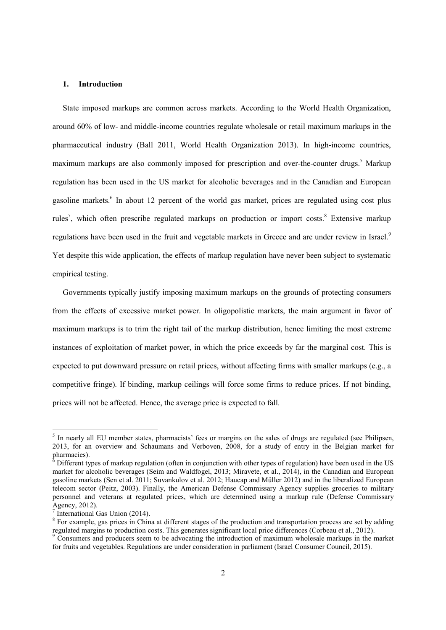#### **1. Introduction**

State imposed markups are common across markets. According to the World Health Organization, around 60% of low- and middle-income countries regulate wholesale or retail maximum markups in the pharmaceutical industry (Ball 2011, World Health Organization 2013). In high-income countries, maximum markups are also commonly imposed for prescription and over-the-counter drugs.<sup>5</sup> Markup regulation has been used in the US market for alcoholic beverages and in the Canadian and European gasoline markets.<sup>6</sup> In about 12 percent of the world gas market, prices are regulated using cost plus rules<sup>7</sup>, which often prescribe regulated markups on production or import costs.<sup>8</sup> Extensive markup regulations have been used in the fruit and vegetable markets in Greece and are under review in Israel.<sup>9</sup> Yet despite this wide application, the effects of markup regulation have never been subject to systematic empirical testing.

Governments typically justify imposing maximum markups on the grounds of protecting consumers from the effects of excessive market power. In oligopolistic markets, the main argument in favor of maximum markups is to trim the right tail of the markup distribution, hence limiting the most extreme instances of exploitation of market power, in which the price exceeds by far the marginal cost. This is expected to put downward pressure on retail prices, without affecting firms with smaller markups (e.g., a competitive fringe). If binding, markup ceilings will force some firms to reduce prices. If not binding, prices will not be affected. Hence, the average price is expected to fall.

<sup>&</sup>lt;sup>5</sup> In nearly all EU member states, pharmacists' fees or margins on the sales of drugs are regulated (see Philipsen, 2013, for an overview and Schaumans and Verboven, 2008, for a study of entry in the Belgian market for

pharmacies).<br><sup>6</sup> Different types of markup regulation (often in conjunction with other types of regulation) have been used in the US market for alcoholic beverages (Seim and Waldfogel, 2013; Miravete, et al., 2014), in the Canadian and European gasoline markets (Sen et al. 2011; Suvankulov et al. 2012; Haucap and Müller 2012) and in the liberalized European telecom sector (Peitz, 2003). Finally, the American Defense Commissary Agency supplies groceries to military personnel and veterans at regulated prices, which are determined using a markup rule (Defense Commissary Agency, 2012).

<sup>7</sup> International Gas Union (2014).

<sup>&</sup>lt;sup>8</sup> For example, gas prices in China at different stages of the production and transportation process are set by adding regulated margins to production costs. This generates significant local price differences (Corbeau et al., 2012).

<sup>&</sup>lt;sup>9</sup> Consumers and producers seem to be advocating the introduction of maximum wholesale markups in the market for fruits and vegetables. Regulations are under consideration in parliament (Israel Consumer Council, 2015).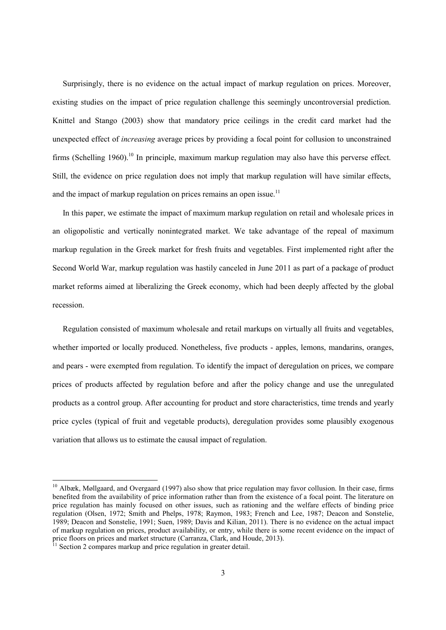Surprisingly, there is no evidence on the actual impact of markup regulation on prices. Moreover, existing studies on the impact of price regulation challenge this seemingly uncontroversial prediction. Knittel and Stango (2003) show that mandatory price ceilings in the credit card market had the unexpected effect of *increasing* average prices by providing a focal point for collusion to unconstrained firms (Schelling 1960).<sup>10</sup> In principle, maximum markup regulation may also have this perverse effect. Still, the evidence on price regulation does not imply that markup regulation will have similar effects, and the impact of markup regulation on prices remains an open issue.<sup>11</sup>

In this paper, we estimate the impact of maximum markup regulation on retail and wholesale prices in an oligopolistic and vertically nonintegrated market. We take advantage of the repeal of maximum markup regulation in the Greek market for fresh fruits and vegetables. First implemented right after the Second World War, markup regulation was hastily canceled in June 2011 as part of a package of product market reforms aimed at liberalizing the Greek economy, which had been deeply affected by the global recession.

Regulation consisted of maximum wholesale and retail markups on virtually all fruits and vegetables, whether imported or locally produced. Nonetheless, five products - apples, lemons, mandarins, oranges, and pears - were exempted from regulation. To identify the impact of deregulation on prices, we compare prices of products affected by regulation before and after the policy change and use the unregulated products as a control group. After accounting for product and store characteristics, time trends and yearly price cycles (typical of fruit and vegetable products), deregulation provides some plausibly exogenous variation that allows us to estimate the causal impact of regulation.

<sup>&</sup>lt;sup>10</sup> Albæk, Møllgaard, and Overgaard (1997) also show that price regulation may favor collusion. In their case, firms benefited from the availability of price information rather than from the existence of a focal point. The literature on price regulation has mainly focused on other issues, such as rationing and the welfare effects of binding price regulation (Olsen, 1972; Smith and Phelps, 1978; Raymon, 1983; French and Lee, 1987; Deacon and Sonstelie, 1989; Deacon and Sonstelie, 1991; Suen, 1989; Davis and Kilian, 2011). There is no evidence on the actual impact of markup regulation on prices, product availability, or entry, while there is some recent evidence on the impact of price floors on prices and market structure (Carranza, Clark, and Houde, 2013).

 $11$  Section 2 compares markup and price regulation in greater detail.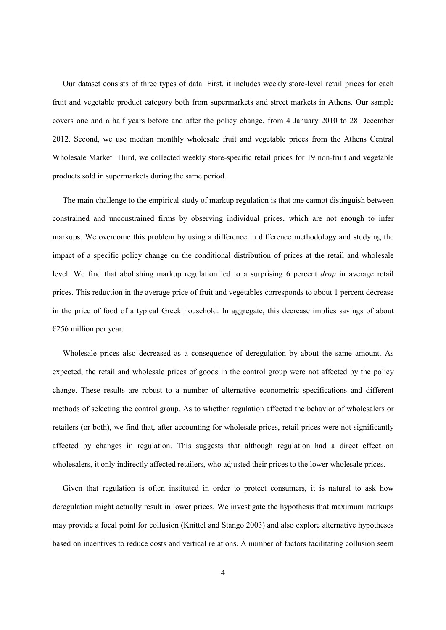Our dataset consists of three types of data. First, it includes weekly store-level retail prices for each fruit and vegetable product category both from supermarkets and street markets in Athens. Our sample covers one and a half years before and after the policy change, from 4 January 2010 to 28 December 2012. Second, we use median monthly wholesale fruit and vegetable prices from the Athens Central Wholesale Market. Third, we collected weekly store-specific retail prices for 19 non-fruit and vegetable products sold in supermarkets during the same period.

The main challenge to the empirical study of markup regulation is that one cannot distinguish between constrained and unconstrained firms by observing individual prices, which are not enough to infer markups. We overcome this problem by using a difference in difference methodology and studying the impact of a specific policy change on the conditional distribution of prices at the retail and wholesale level. We find that abolishing markup regulation led to a surprising 6 percent *drop* in average retail prices. This reduction in the average price of fruit and vegetables corresponds to about 1 percent decrease in the price of food of a typical Greek household. In aggregate, this decrease implies savings of about  $€256$  million per year.

Wholesale prices also decreased as a consequence of deregulation by about the same amount. As expected, the retail and wholesale prices of goods in the control group were not affected by the policy change. These results are robust to a number of alternative econometric specifications and different methods of selecting the control group. As to whether regulation affected the behavior of wholesalers or retailers (or both), we find that, after accounting for wholesale prices, retail prices were not significantly affected by changes in regulation. This suggests that although regulation had a direct effect on wholesalers, it only indirectly affected retailers, who adjusted their prices to the lower wholesale prices.

Given that regulation is often instituted in order to protect consumers, it is natural to ask how deregulation might actually result in lower prices. We investigate the hypothesis that maximum markups may provide a focal point for collusion (Knittel and Stango 2003) and also explore alternative hypotheses based on incentives to reduce costs and vertical relations. A number of factors facilitating collusion seem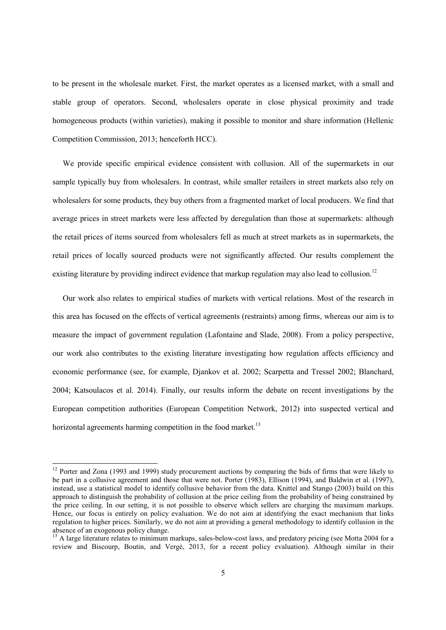to be present in the wholesale market. First, the market operates as a licensed market, with a small and stable group of operators. Second, wholesalers operate in close physical proximity and trade homogeneous products (within varieties), making it possible to monitor and share information (Hellenic Competition Commission, 2013; henceforth HCC).

We provide specific empirical evidence consistent with collusion. All of the supermarkets in our sample typically buy from wholesalers. In contrast, while smaller retailers in street markets also rely on wholesalers for some products, they buy others from a fragmented market of local producers. We find that average prices in street markets were less affected by deregulation than those at supermarkets: although the retail prices of items sourced from wholesalers fell as much at street markets as in supermarkets, the retail prices of locally sourced products were not significantly affected. Our results complement the existing literature by providing indirect evidence that markup regulation may also lead to collusion.<sup>12</sup>

Our work also relates to empirical studies of markets with vertical relations. Most of the research in this area has focused on the effects of vertical agreements (restraints) among firms, whereas our aim is to measure the impact of government regulation (Lafontaine and Slade, 2008). From a policy perspective, our work also contributes to the existing literature investigating how regulation affects efficiency and economic performance (see, for example, Djankov et al. 2002; Scarpetta and Tressel 2002; Blanchard, 2004; Katsoulacos et al. 2014). Finally, our results inform the debate on recent investigations by the European competition authorities (European Competition Network, 2012) into suspected vertical and horizontal agreements harming competition in the food market.<sup>13</sup>

 $12$  Porter and Zona (1993 and 1999) study procurement auctions by comparing the bids of firms that were likely to be part in a collusive agreement and those that were not. Porter (1983), Ellison (1994), and Baldwin et al. (1997), instead, use a statistical model to identify collusive behavior from the data. Knittel and Stango (2003) build on this approach to distinguish the probability of collusion at the price ceiling from the probability of being constrained by the price ceiling. In our setting, it is not possible to observe which sellers are charging the maximum markups. Hence, our focus is entirely on policy evaluation. We do not aim at identifying the exact mechanism that links regulation to higher prices. Similarly, we do not aim at providing a general methodology to identify collusion in the absence of an exogenous policy change.

<sup>&</sup>lt;sup>13</sup> A large literature relates to minimum markups, sales-below-cost laws, and predatory pricing (see Motta 2004 for a review and Biscourp, Boutin, and Vergè, 2013, for a recent policy evaluation). Although similar in their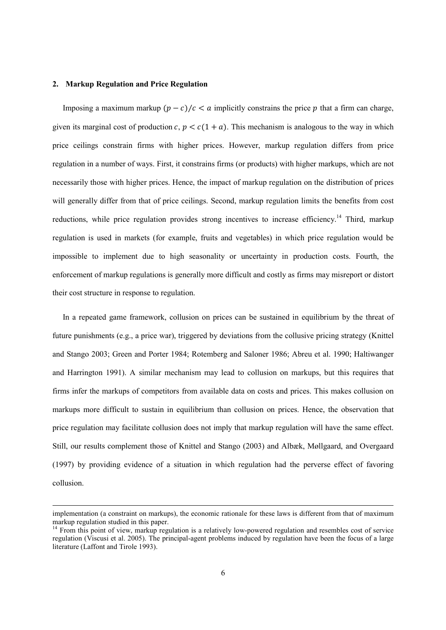#### **2. Markup Regulation and Price Regulation**

Imposing a maximum markup  $(p - c)/c < a$  implicitly constrains the price p that a firm can charge, given its marginal cost of production  $c, p < c(1 + a)$ . This mechanism is analogous to the way in which price ceilings constrain firms with higher prices. However, markup regulation differs from price regulation in a number of ways. First, it constrains firms (or products) with higher markups, which are not necessarily those with higher prices. Hence, the impact of markup regulation on the distribution of prices will generally differ from that of price ceilings. Second, markup regulation limits the benefits from cost reductions, while price regulation provides strong incentives to increase efficiency.<sup>14</sup> Third, markup regulation is used in markets (for example, fruits and vegetables) in which price regulation would be impossible to implement due to high seasonality or uncertainty in production costs. Fourth, the enforcement of markup regulations is generally more difficult and costly as firms may misreport or distort their cost structure in response to regulation.

In a repeated game framework, collusion on prices can be sustained in equilibrium by the threat of future punishments (e.g., a price war), triggered by deviations from the collusive pricing strategy (Knittel and Stango 2003; Green and Porter 1984; Rotemberg and Saloner 1986; Abreu et al. 1990; Haltiwanger and Harrington 1991). A similar mechanism may lead to collusion on markups, but this requires that firms infer the markups of competitors from available data on costs and prices. This makes collusion on markups more difficult to sustain in equilibrium than collusion on prices. Hence, the observation that price regulation may facilitate collusion does not imply that markup regulation will have the same effect. Still, our results complement those of Knittel and Stango (2003) and Albæk, Møllgaard, and Overgaard (1997) by providing evidence of a situation in which regulation had the perverse effect of favoring collusion.

implementation (a constraint on markups), the economic rationale for these laws is different from that of maximum markup regulation studied in this paper.

 $14$  From this point of view, markup regulation is a relatively low-powered regulation and resembles cost of service regulation (Viscusi et al. 2005). The principal-agent problems induced by regulation have been the focus of a large literature (Laffont and Tirole 1993).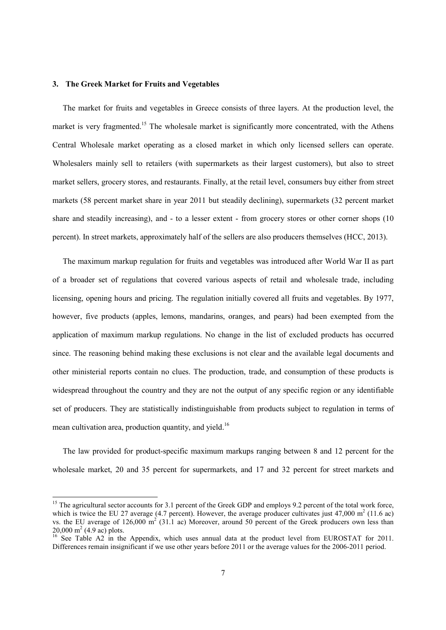#### **3. The Greek Market for Fruits and Vegetables**

The market for fruits and vegetables in Greece consists of three layers. At the production level, the market is very fragmented.<sup>15</sup> The wholesale market is significantly more concentrated, with the Athens Central Wholesale market operating as a closed market in which only licensed sellers can operate. Wholesalers mainly sell to retailers (with supermarkets as their largest customers), but also to street market sellers, grocery stores, and restaurants. Finally, at the retail level, consumers buy either from street markets (58 percent market share in year 2011 but steadily declining), supermarkets (32 percent market share and steadily increasing), and - to a lesser extent - from grocery stores or other corner shops (10 percent). In street markets, approximately half of the sellers are also producers themselves (HCC, 2013).

The maximum markup regulation for fruits and vegetables was introduced after World War II as part of a broader set of regulations that covered various aspects of retail and wholesale trade, including licensing, opening hours and pricing. The regulation initially covered all fruits and vegetables. By 1977, however, five products (apples, lemons, mandarins, oranges, and pears) had been exempted from the application of maximum markup regulations. No change in the list of excluded products has occurred since. The reasoning behind making these exclusions is not clear and the available legal documents and other ministerial reports contain no clues. The production, trade, and consumption of these products is widespread throughout the country and they are not the output of any specific region or any identifiable set of producers. They are statistically indistinguishable from products subject to regulation in terms of mean cultivation area, production quantity, and yield.<sup>16</sup>

The law provided for product-specific maximum markups ranging between 8 and 12 percent for the wholesale market, 20 and 35 percent for supermarkets, and 17 and 32 percent for street markets and

<sup>&</sup>lt;sup>15</sup> The agricultural sector accounts for 3.1 percent of the Greek GDP and employs 9.2 percent of the total work force, which is twice the EU 27 average (4.7 percent). However, the average producer cultivates just 47,000 m<sup>2</sup> (11.6 ac) vs. the EU average of  $126,000 \text{ m}^2$  (31.1 ac) Moreover, around 50 percent of the Greek producers own less than  $20,000 \text{ m}^2 (4.9 \text{ ac}) \text{ plots}.$ 

<sup>&</sup>lt;sup>16</sup> See Table A2 in the Appendix, which uses annual data at the product level from EUROSTAT for 2011. Differences remain insignificant if we use other years before 2011 or the average values for the 2006-2011 period.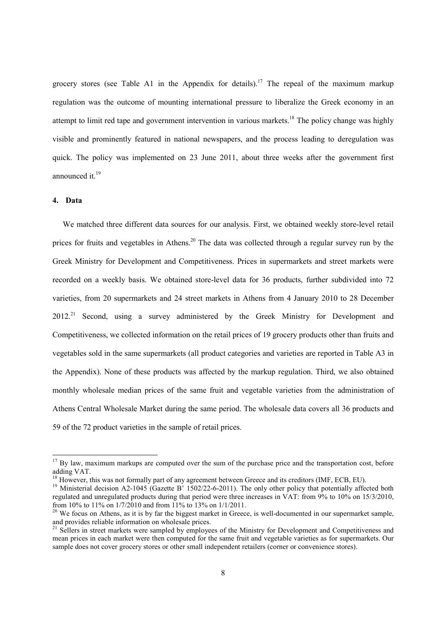grocery stores (see Table A1 in the Appendix for details).<sup>17</sup> The repeal of the maximum markup regulation was the outcome of mounting international pressure to liberalize the Greek economy in an attempt to limit red tape and government intervention in various markets.<sup>18</sup> The policy change was highly visible and prominently featured in national newspapers, and the process leading to deregulation was quick. The policy was implemented on 23 June 2011, about three weeks after the government first announced it  $19$ 

#### **4. Data**

We matched three different data sources for our analysis. First, we obtained weekly store-level retail prices for fruits and vegetables in Athens.<sup>20</sup> The data was collected through a regular survey run by the Greek Ministry for Development and Competitiveness. Prices in supermarkets and street markets were recorded on a weekly basis. We obtained store-level data for 36 products, further subdivided into 72 varieties, from 20 supermarkets and 24 street markets in Athens from 4 January 2010 to 28 December 2012.<sup>21</sup> Second, using a survey administered by the Greek Ministry for Development and Competitiveness, we collected information on the retail prices of 19 grocery products other than fruits and vegetables sold in the same supermarkets (all product categories and varieties are reported in Table A3 in the Appendix). None of these products was affected by the markup regulation. Third, we also obtained monthly wholesale median prices of the same fruit and vegetable varieties from the administration of Athens Central Wholesale Market during the same period. The wholesale data covers all 36 products and 59 of the 72 product varieties in the sample of retail prices.

<sup>&</sup>lt;sup>17</sup> By law, maximum markups are computed over the sum of the purchase price and the transportation cost, before adding VAT.

<sup>&</sup>lt;sup>18</sup> However, this was not formally part of any agreement between Greece and its creditors (IMF, ECB, EU).

<sup>&</sup>lt;sup>19</sup> Ministerial decision A2-1045 (Gazette B<sup>3</sup> 1502/22-6-2011). The only other policy that potentially affected both regulated and unregulated products during that period were three increases in VAT: from 9% to 10% on 15/3/2010, from 10% to 11% on 1/7/2010 and from 11% to 13% on 1/1/2011.

 $20$  We focus on Athens, as it is by far the biggest market in Greece, is well-documented in our supermarket sample, and provides reliable information on wholesale prices.

<sup>&</sup>lt;sup>21</sup> Sellers in street markets were sampled by employees of the Ministry for Development and Competitiveness and mean prices in each market were then computed for the same fruit and vegetable varieties as for supermarkets. Our sample does not cover grocery stores or other small independent retailers (corner or convenience stores).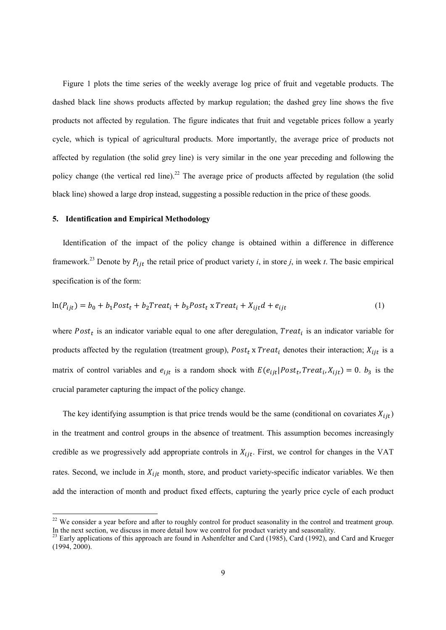Figure 1 plots the time series of the weekly average log price of fruit and vegetable products. The dashed black line shows products affected by markup regulation; the dashed grey line shows the five products not affected by regulation. The figure indicates that fruit and vegetable prices follow a yearly cycle, which is typical of agricultural products. More importantly, the average price of products not affected by regulation (the solid grey line) is very similar in the one year preceding and following the policy change (the vertical red line).<sup>22</sup> The average price of products affected by regulation (the solid black line) showed a large drop instead, suggesting a possible reduction in the price of these goods.

#### **5. Identification and Empirical Methodology**

Identification of the impact of the policy change is obtained within a difference in difference framework.<sup>23</sup> Denote by  $P_{ijt}$  the retail price of product variety *i*, in store *j*, in week *t*. The basic empirical specification is of the form:

$$
\ln(P_{ijt}) = b_0 + b_1 Post_t + b_2 Treat_t + b_3 Post_t x Treat_t + X_{ijt} d + e_{ijt}
$$
\n
$$
\tag{1}
$$

where  $Post<sub>t</sub>$  is an indicator variable equal to one after deregulation,  $Treat<sub>i</sub>$  is an indicator variable for products affected by the regulation (treatment group),  $Post_t$  x  $Treat_i$  denotes their interaction;  $X_{ijt}$  is a matrix of control variables and  $e_{ijt}$  is a random shock with  $E(e_{ijt}|Post_t, Treat_t, X_{ijt}) = 0$ .  $b_3$  is the crucial parameter capturing the impact of the policy change.

The key identifying assumption is that price trends would be the same (conditional on covariates  $X_{iit}$ ) in the treatment and control groups in the absence of treatment. This assumption becomes increasingly credible as we progressively add appropriate controls in  $X_{ijt}$ . First, we control for changes in the VAT rates. Second, we include in  $X_{ijt}$  month, store, and product variety-specific indicator variables. We then add the interaction of month and product fixed effects, capturing the yearly price cycle of each product

<sup>&</sup>lt;sup>22</sup> We consider a year before and after to roughly control for product seasonality in the control and treatment group. In the next section, we discuss in more detail how we control for product variety and seasonality.

<sup>&</sup>lt;sup>23</sup> Early applications of this approach are found in Ashenfelter and Card (1985), Card (1992), and Card and Krueger (1994, 2000).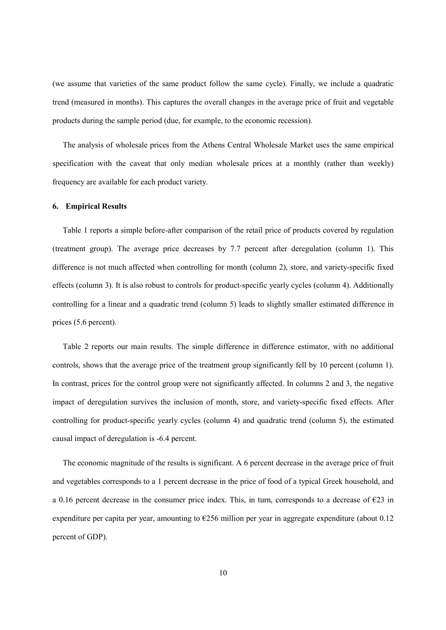(we assume that varieties of the same product follow the same cycle). Finally, we include a quadratic trend (measured in months). This captures the overall changes in the average price of fruit and vegetable products during the sample period (due, for example, to the economic recession).

The analysis of wholesale prices from the Athens Central Wholesale Market uses the same empirical specification with the caveat that only median wholesale prices at a monthly (rather than weekly) frequency are available for each product variety.

#### **6. Empirical Results**

Table 1 reports a simple before-after comparison of the retail price of products covered by regulation (treatment group). The average price decreases by 7.7 percent after deregulation (column 1). This difference is not much affected when controlling for month (column 2), store, and variety-specific fixed effects (column 3). It is also robust to controls for product-specific yearly cycles (column 4). Additionally controlling for a linear and a quadratic trend (column 5) leads to slightly smaller estimated difference in prices (5.6 percent).

Table 2 reports our main results. The simple difference in difference estimator, with no additional controls, shows that the average price of the treatment group significantly fell by 10 percent (column 1). In contrast, prices for the control group were not significantly affected. In columns 2 and 3, the negative impact of deregulation survives the inclusion of month, store, and variety-specific fixed effects. After controlling for product-specific yearly cycles (column 4) and quadratic trend (column 5), the estimated causal impact of deregulation is -6.4 percent.

The economic magnitude of the results is significant. A 6 percent decrease in the average price of fruit and vegetables corresponds to a 1 percent decrease in the price of food of a typical Greek household, and a 0.16 percent decrease in the consumer price index. This, in turn, corresponds to a decrease of  $\epsilon$ 23 in expenditure per capita per year, amounting to  $\epsilon$ 256 million per year in aggregate expenditure (about 0.12 percent of GDP).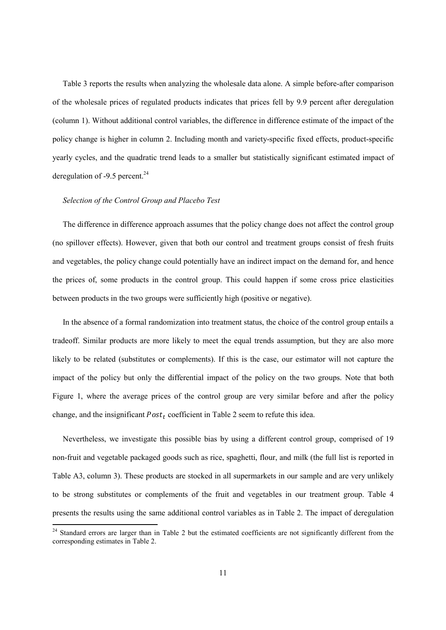Table 3 reports the results when analyzing the wholesale data alone. A simple before-after comparison of the wholesale prices of regulated products indicates that prices fell by 9.9 percent after deregulation (column 1). Without additional control variables, the difference in difference estimate of the impact of the policy change is higher in column 2. Including month and variety-specific fixed effects, product-specific yearly cycles, and the quadratic trend leads to a smaller but statistically significant estimated impact of deregulation of -9.5 percent. $^{24}$ 

#### *Selection of the Control Group and Placebo Test*

The difference in difference approach assumes that the policy change does not affect the control group (no spillover effects). However, given that both our control and treatment groups consist of fresh fruits and vegetables, the policy change could potentially have an indirect impact on the demand for, and hence the prices of, some products in the control group. This could happen if some cross price elasticities between products in the two groups were sufficiently high (positive or negative).

In the absence of a formal randomization into treatment status, the choice of the control group entails a tradeoff. Similar products are more likely to meet the equal trends assumption, but they are also more likely to be related (substitutes or complements). If this is the case, our estimator will not capture the impact of the policy but only the differential impact of the policy on the two groups. Note that both Figure 1, where the average prices of the control group are very similar before and after the policy change, and the insignificant  $Post<sub>t</sub>$  coefficient in Table 2 seem to refute this idea.

Nevertheless, we investigate this possible bias by using a different control group, comprised of 19 non-fruit and vegetable packaged goods such as rice, spaghetti, flour, and milk (the full list is reported in Table A3, column 3). These products are stocked in all supermarkets in our sample and are very unlikely to be strong substitutes or complements of the fruit and vegetables in our treatment group. Table 4 presents the results using the same additional control variables as in Table 2. The impact of deregulation

<sup>&</sup>lt;sup>24</sup> Standard errors are larger than in Table 2 but the estimated coefficients are not significantly different from the corresponding estimates in Table 2.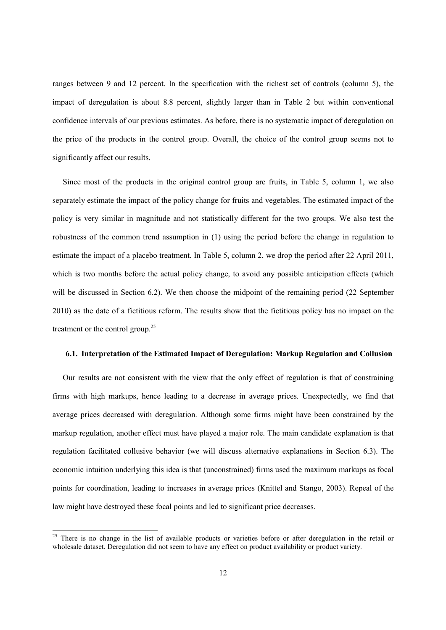ranges between 9 and 12 percent. In the specification with the richest set of controls (column 5), the impact of deregulation is about 8.8 percent, slightly larger than in Table 2 but within conventional confidence intervals of our previous estimates. As before, there is no systematic impact of deregulation on the price of the products in the control group. Overall, the choice of the control group seems not to significantly affect our results.

Since most of the products in the original control group are fruits, in Table 5, column 1, we also separately estimate the impact of the policy change for fruits and vegetables. The estimated impact of the policy is very similar in magnitude and not statistically different for the two groups. We also test the robustness of the common trend assumption in (1) using the period before the change in regulation to estimate the impact of a placebo treatment. In Table 5, column 2, we drop the period after 22 April 2011, which is two months before the actual policy change, to avoid any possible anticipation effects (which will be discussed in Section 6.2). We then choose the midpoint of the remaining period (22 September 2010) as the date of a fictitious reform. The results show that the fictitious policy has no impact on the treatment or the control group. $25$ 

#### **6.1. Interpretation of the Estimated Impact of Deregulation: Markup Regulation and Collusion**

Our results are not consistent with the view that the only effect of regulation is that of constraining firms with high markups, hence leading to a decrease in average prices. Unexpectedly, we find that average prices decreased with deregulation. Although some firms might have been constrained by the markup regulation, another effect must have played a major role. The main candidate explanation is that regulation facilitated collusive behavior (we will discuss alternative explanations in Section 6.3). The economic intuition underlying this idea is that (unconstrained) firms used the maximum markups as focal points for coordination, leading to increases in average prices (Knittel and Stango, 2003). Repeal of the law might have destroyed these focal points and led to significant price decreases.

<sup>&</sup>lt;sup>25</sup> There is no change in the list of available products or varieties before or after deregulation in the retail or wholesale dataset. Deregulation did not seem to have any effect on product availability or product variety.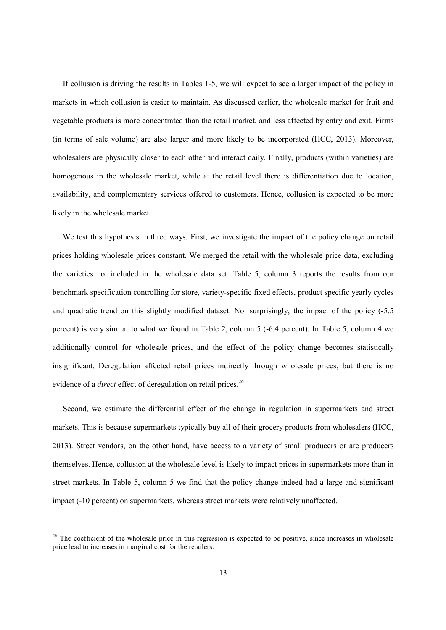If collusion is driving the results in Tables 1-5, we will expect to see a larger impact of the policy in markets in which collusion is easier to maintain. As discussed earlier, the wholesale market for fruit and vegetable products is more concentrated than the retail market, and less affected by entry and exit. Firms (in terms of sale volume) are also larger and more likely to be incorporated (HCC, 2013). Moreover, wholesalers are physically closer to each other and interact daily. Finally, products (within varieties) are homogenous in the wholesale market, while at the retail level there is differentiation due to location, availability, and complementary services offered to customers. Hence, collusion is expected to be more likely in the wholesale market.

We test this hypothesis in three ways. First, we investigate the impact of the policy change on retail prices holding wholesale prices constant. We merged the retail with the wholesale price data, excluding the varieties not included in the wholesale data set. Table 5, column 3 reports the results from our benchmark specification controlling for store, variety-specific fixed effects, product specific yearly cycles and quadratic trend on this slightly modified dataset. Not surprisingly, the impact of the policy (-5.5 percent) is very similar to what we found in Table 2, column 5 (-6.4 percent). In Table 5, column 4 we additionally control for wholesale prices, and the effect of the policy change becomes statistically insignificant. Deregulation affected retail prices indirectly through wholesale prices, but there is no evidence of a *direct* effect of deregulation on retail prices.<sup>26</sup>

Second, we estimate the differential effect of the change in regulation in supermarkets and street markets. This is because supermarkets typically buy all of their grocery products from wholesalers (HCC, 2013). Street vendors, on the other hand, have access to a variety of small producers or are producers themselves. Hence, collusion at the wholesale level is likely to impact prices in supermarkets more than in street markets. In Table 5, column 5 we find that the policy change indeed had a large and significant impact (-10 percent) on supermarkets, whereas street markets were relatively unaffected.

<sup>&</sup>lt;sup>26</sup> The coefficient of the wholesale price in this regression is expected to be positive, since increases in wholesale price lead to increases in marginal cost for the retailers.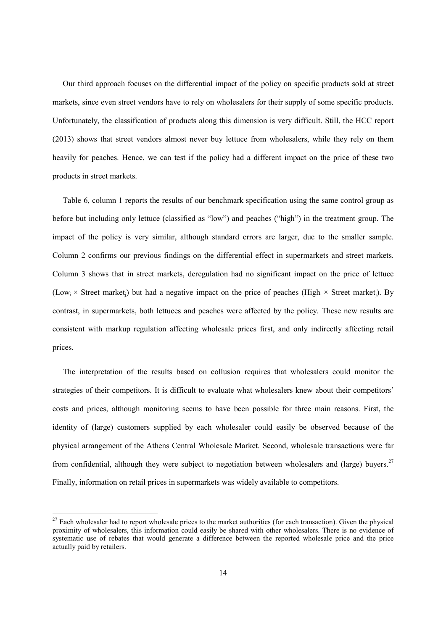Our third approach focuses on the differential impact of the policy on specific products sold at street markets, since even street vendors have to rely on wholesalers for their supply of some specific products. Unfortunately, the classification of products along this dimension is very difficult. Still, the HCC report (2013) shows that street vendors almost never buy lettuce from wholesalers, while they rely on them heavily for peaches. Hence, we can test if the policy had a different impact on the price of these two products in street markets.

Table 6, column 1 reports the results of our benchmark specification using the same control group as before but including only lettuce (classified as "low") and peaches ("high") in the treatment group. The impact of the policy is very similar, although standard errors are larger, due to the smaller sample. Column 2 confirms our previous findings on the differential effect in supermarkets and street markets. Column 3 shows that in street markets, deregulation had no significant impact on the price of lettuce (Low<sub>i</sub>  $\times$  Street market<sub>i</sub>) but had a negative impact on the price of peaches (High<sub>i</sub>  $\times$  Street market<sub>i</sub>). By contrast, in supermarkets, both lettuces and peaches were affected by the policy. These new results are consistent with markup regulation affecting wholesale prices first, and only indirectly affecting retail prices.

The interpretation of the results based on collusion requires that wholesalers could monitor the strategies of their competitors. It is difficult to evaluate what wholesalers knew about their competitors' costs and prices, although monitoring seems to have been possible for three main reasons. First, the identity of (large) customers supplied by each wholesaler could easily be observed because of the physical arrangement of the Athens Central Wholesale Market. Second, wholesale transactions were far from confidential, although they were subject to negotiation between wholesalers and (large) buyers.<sup>27</sup> Finally, information on retail prices in supermarkets was widely available to competitors.

 $27$  Each wholesaler had to report wholesale prices to the market authorities (for each transaction). Given the physical proximity of wholesalers, this information could easily be shared with other wholesalers. There is no evidence of systematic use of rebates that would generate a difference between the reported wholesale price and the price actually paid by retailers.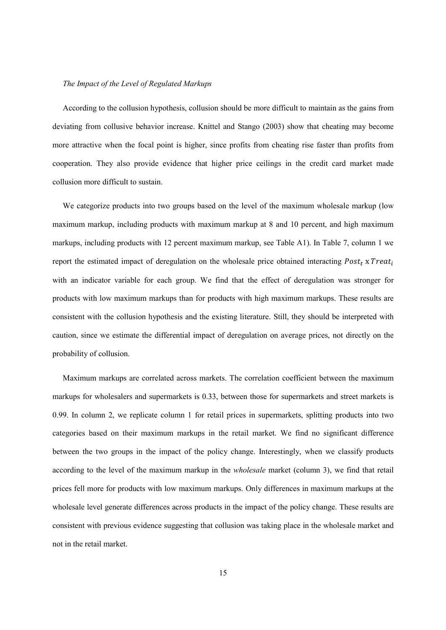#### *The Impact of the Level of Regulated Markups*

According to the collusion hypothesis, collusion should be more difficult to maintain as the gains from deviating from collusive behavior increase. Knittel and Stango (2003) show that cheating may become more attractive when the focal point is higher, since profits from cheating rise faster than profits from cooperation. They also provide evidence that higher price ceilings in the credit card market made collusion more difficult to sustain.

We categorize products into two groups based on the level of the maximum wholesale markup (low maximum markup, including products with maximum markup at 8 and 10 percent, and high maximum markups, including products with 12 percent maximum markup, see Table A1). In Table 7, column 1 we report the estimated impact of deregulation on the wholesale price obtained interacting  $Post<sub>t</sub>$  x Treat<sub>i</sub> with an indicator variable for each group. We find that the effect of deregulation was stronger for products with low maximum markups than for products with high maximum markups. These results are consistent with the collusion hypothesis and the existing literature. Still, they should be interpreted with caution, since we estimate the differential impact of deregulation on average prices, not directly on the probability of collusion.

Maximum markups are correlated across markets. The correlation coefficient between the maximum markups for wholesalers and supermarkets is 0.33, between those for supermarkets and street markets is 0.99. In column 2, we replicate column 1 for retail prices in supermarkets, splitting products into two categories based on their maximum markups in the retail market. We find no significant difference between the two groups in the impact of the policy change. Interestingly, when we classify products according to the level of the maximum markup in the *wholesale* market (column 3), we find that retail prices fell more for products with low maximum markups. Only differences in maximum markups at the wholesale level generate differences across products in the impact of the policy change. These results are consistent with previous evidence suggesting that collusion was taking place in the wholesale market and not in the retail market.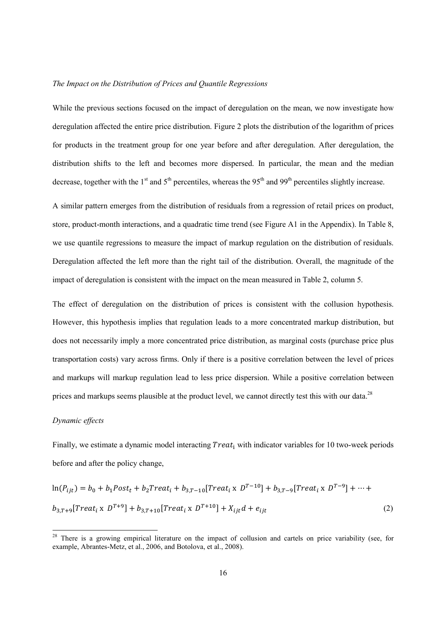#### *The Impact on the Distribution of Prices and Quantile Regressions*

While the previous sections focused on the impact of deregulation on the mean, we now investigate how deregulation affected the entire price distribution. Figure 2 plots the distribution of the logarithm of prices for products in the treatment group for one year before and after deregulation. After deregulation, the distribution shifts to the left and becomes more dispersed. In particular, the mean and the median decrease, together with the 1<sup>st</sup> and 5<sup>th</sup> percentiles, whereas the 95<sup>th</sup> and 99<sup>th</sup> percentiles slightly increase.

A similar pattern emerges from the distribution of residuals from a regression of retail prices on product, store, product-month interactions, and a quadratic time trend (see Figure A1 in the Appendix). In Table 8, we use quantile regressions to measure the impact of markup regulation on the distribution of residuals. Deregulation affected the left more than the right tail of the distribution. Overall, the magnitude of the impact of deregulation is consistent with the impact on the mean measured in Table 2, column 5.

The effect of deregulation on the distribution of prices is consistent with the collusion hypothesis. However, this hypothesis implies that regulation leads to a more concentrated markup distribution, but does not necessarily imply a more concentrated price distribution, as marginal costs (purchase price plus transportation costs) vary across firms. Only if there is a positive correlation between the level of prices and markups will markup regulation lead to less price dispersion. While a positive correlation between prices and markups seems plausible at the product level, we cannot directly test this with our data.<sup>28</sup>

#### *Dynamic effects*

Finally, we estimate a dynamic model interacting  $Treat_i$  with indicator variables for 10 two-week periods before and after the policy change,

$$
\ln(P_{ijt}) = b_0 + b_1 Post_t + b_2 Treat_t + b_{3,T-10}[Treat_t \times D^{T-10}] + b_{3,T-9}[Treat_t \times D^{T-9}] + \dots + b_{3,T+9}[Treat_t \times D^{T+9}] + b_{3,T+10}[Treat_t \times D^{T+10}] + X_{ijt}d + e_{ijt}
$$
\n(2)

<sup>&</sup>lt;sup>28</sup> There is a growing empirical literature on the impact of collusion and cartels on price variability (see, for example, Abrantes-Metz, et al., 2006, and Botolova, et al., 2008).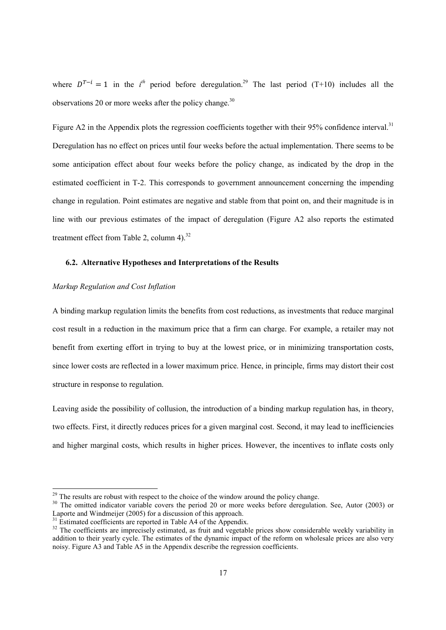where  $D^{T-i} = 1$  in the *i*<sup>th</sup> period before deregulation.<sup>29</sup> The last period (T+10) includes all the observations 20 or more weeks after the policy change. $30$ 

Figure A2 in the Appendix plots the regression coefficients together with their 95% confidence interval.<sup>31</sup> Deregulation has no effect on prices until four weeks before the actual implementation. There seems to be some anticipation effect about four weeks before the policy change, as indicated by the drop in the estimated coefficient in T-2. This corresponds to government announcement concerning the impending change in regulation. Point estimates are negative and stable from that point on, and their magnitude is in line with our previous estimates of the impact of deregulation (Figure A2 also reports the estimated treatment effect from Table 2, column  $4$ ).<sup>32</sup>

#### **6.2. Alternative Hypotheses and Interpretations of the Results**

#### *Markup Regulation and Cost Inflation*

A binding markup regulation limits the benefits from cost reductions, as investments that reduce marginal cost result in a reduction in the maximum price that a firm can charge. For example, a retailer may not benefit from exerting effort in trying to buy at the lowest price, or in minimizing transportation costs, since lower costs are reflected in a lower maximum price. Hence, in principle, firms may distort their cost structure in response to regulation.

Leaving aside the possibility of collusion, the introduction of a binding markup regulation has, in theory, two effects. First, it directly reduces prices for a given marginal cost. Second, it may lead to inefficiencies and higher marginal costs, which results in higher prices. However, the incentives to inflate costs only

 $29$  The results are robust with respect to the choice of the window around the policy change.

<sup>&</sup>lt;sup>30</sup> The omitted indicator variable covers the period 20 or more weeks before deregulation. See, Autor (2003) or Laporte and Windmeijer (2005) for a discussion of this approach.

 $31$  Estimated coefficients are reported in Table A4 of the Appendix.

 $32$  The coefficients are imprecisely estimated, as fruit and vegetable prices show considerable weekly variability in addition to their yearly cycle. The estimates of the dynamic impact of the reform on wholesale prices are also very noisy. Figure A3 and Table A5 in the Appendix describe the regression coefficients.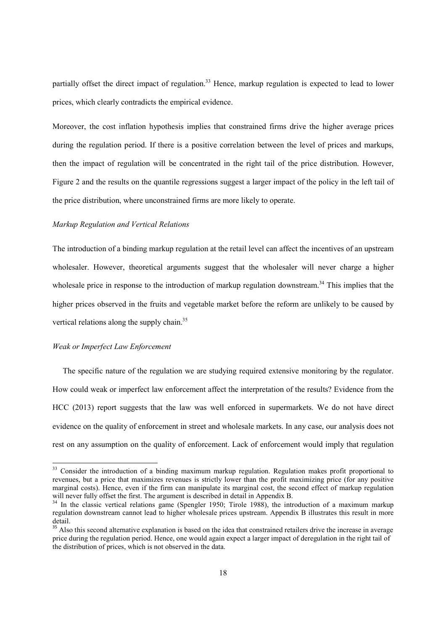partially offset the direct impact of regulation.<sup>33</sup> Hence, markup regulation is expected to lead to lower prices, which clearly contradicts the empirical evidence.

Moreover, the cost inflation hypothesis implies that constrained firms drive the higher average prices during the regulation period. If there is a positive correlation between the level of prices and markups, then the impact of regulation will be concentrated in the right tail of the price distribution. However, Figure 2 and the results on the quantile regressions suggest a larger impact of the policy in the left tail of the price distribution, where unconstrained firms are more likely to operate.

#### *Markup Regulation and Vertical Relations*

The introduction of a binding markup regulation at the retail level can affect the incentives of an upstream wholesaler. However, theoretical arguments suggest that the wholesaler will never charge a higher wholesale price in response to the introduction of markup regulation downstream.<sup>34</sup> This implies that the higher prices observed in the fruits and vegetable market before the reform are unlikely to be caused by vertical relations along the supply chain.<sup>35</sup>

#### *Weak or Imperfect Law Enforcement*

The specific nature of the regulation we are studying required extensive monitoring by the regulator. How could weak or imperfect law enforcement affect the interpretation of the results? Evidence from the HCC (2013) report suggests that the law was well enforced in supermarkets. We do not have direct evidence on the quality of enforcement in street and wholesale markets. In any case, our analysis does not rest on any assumption on the quality of enforcement. Lack of enforcement would imply that regulation

<sup>&</sup>lt;sup>33</sup> Consider the introduction of a binding maximum markup regulation. Regulation makes profit proportional to revenues, but a price that maximizes revenues is strictly lower than the profit maximizing price (for any positive marginal costs). Hence, even if the firm can manipulate its marginal cost, the second effect of markup regulation will never fully offset the first. The argument is described in detail in Appendix B.

<sup>&</sup>lt;sup>34</sup> In the classic vertical relations game (Spengler 1950; Tirole 1988), the introduction of a maximum markup regulation downstream cannot lead to higher wholesale prices upstream. Appendix B illustrates this result in more detail.

<sup>&</sup>lt;sup>35</sup> Also this second alternative explanation is based on the idea that constrained retailers drive the increase in average price during the regulation period. Hence, one would again expect a larger impact of deregulation in the right tail of the distribution of prices, which is not observed in the data.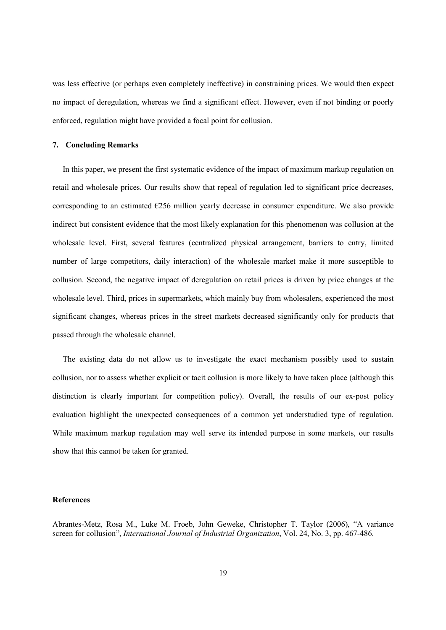was less effective (or perhaps even completely ineffective) in constraining prices. We would then expect no impact of deregulation, whereas we find a significant effect. However, even if not binding or poorly enforced, regulation might have provided a focal point for collusion.

#### **7. Concluding Remarks**

In this paper, we present the first systematic evidence of the impact of maximum markup regulation on retail and wholesale prices. Our results show that repeal of regulation led to significant price decreases, corresponding to an estimated  $E256$  million yearly decrease in consumer expenditure. We also provide indirect but consistent evidence that the most likely explanation for this phenomenon was collusion at the wholesale level. First, several features (centralized physical arrangement, barriers to entry, limited number of large competitors, daily interaction) of the wholesale market make it more susceptible to collusion. Second, the negative impact of deregulation on retail prices is driven by price changes at the wholesale level. Third, prices in supermarkets, which mainly buy from wholesalers, experienced the most significant changes, whereas prices in the street markets decreased significantly only for products that passed through the wholesale channel.

The existing data do not allow us to investigate the exact mechanism possibly used to sustain collusion, nor to assess whether explicit or tacit collusion is more likely to have taken place (although this distinction is clearly important for competition policy). Overall, the results of our ex-post policy evaluation highlight the unexpected consequences of a common yet understudied type of regulation. While maximum markup regulation may well serve its intended purpose in some markets, our results show that this cannot be taken for granted.

#### **References**

Abrantes-Metz, Rosa M., Luke M. Froeb, John Geweke, Christopher T. Taylor (2006), "A variance screen for collusion", *International Journal of Industrial Organization*, Vol. 24, No. 3, pp. 467-486.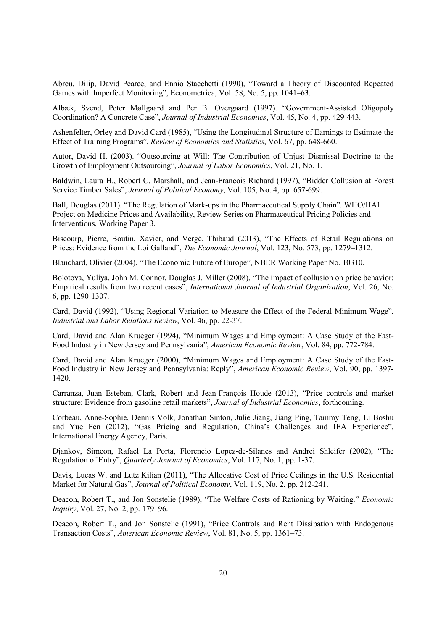Abreu, Dilip, David Pearce, and Ennio Stacchetti (1990), "Toward a Theory of Discounted Repeated Games with Imperfect Monitoring", Econometrica, Vol. 58, No. 5, pp. 1041–63.

Albæk, Svend, Peter Møllgaard and Per B. Overgaard (1997). "Government-Assisted Oligopoly Coordination? A Concrete Case", *Journal of Industrial Economics*, Vol. 45, No. 4, pp. 429-443.

Ashenfelter, Orley and David Card (1985), "Using the Longitudinal Structure of Earnings to Estimate the Effect of Training Programs", *Review of Economics and Statistics*, Vol. 67, pp. 648-660.

Autor, David H. (2003). "Outsourcing at Will: The Contribution of Unjust Dismissal Doctrine to the Growth of Employment Outsourcing", *Journal of Labor Economics*, Vol. 21, No. 1.

Baldwin, Laura H., Robert C. Marshall, and Jean-Francois Richard (1997), "Bidder Collusion at Forest Service Timber Sales", *Journal of Political Economy*, Vol. 105, No. 4, pp. 657-699.

Ball, Douglas (2011). "The Regulation of Mark-ups in the Pharmaceutical Supply Chain". WHO/HAI Project on Medicine Prices and Availability, Review Series on Pharmaceutical Pricing Policies and Interventions, Working Paper 3.

Biscourp, Pierre, Boutin, Xavier, and Vergé, Thibaud (2013), "The Effects of Retail Regulations on Prices: Evidence from the Loi Galland", *The Economic Journal*, Vol. 123, No. 573, pp. 1279–1312.

Blanchard, Olivier (2004), "The Economic Future of Europe", NBER Working Paper No. 10310.

Bolotova, Yuliya, John M. Connor, Douglas J. Miller (2008), "The impact of collusion on price behavior: Empirical results from two recent cases", *International Journal of Industrial Organization*, Vol. 26, No. 6, pp. 1290-1307.

Card, David (1992), "Using Regional Variation to Measure the Effect of the Federal Minimum Wage", *Industrial and Labor Relations Review*, Vol. 46, pp. 22-37.

Card, David and Alan Krueger (1994), "Minimum Wages and Employment: A Case Study of the Fast-Food Industry in New Jersey and Pennsylvania", *American Economic Review*, Vol. 84, pp. 772-784.

Card, David and Alan Krueger (2000), "Minimum Wages and Employment: A Case Study of the Fast-Food Industry in New Jersey and Pennsylvania: Reply", *American Economic Review*, Vol. 90, pp. 1397- 1420.

Carranza, Juan Esteban, Clark, Robert and Jean-François Houde (2013), "Price controls and market structure: Evidence from gasoline retail markets", *Journal of Industrial Economics*, forthcoming.

Corbeau, Anne-Sophie, Dennis Volk, Jonathan Sinton, Julie Jiang, Jiang Ping, Tammy Teng, Li Boshu and Yue Fen (2012), "Gas Pricing and Regulation, China's Challenges and IEA Experience", International Energy Agency, Paris.

Djankov, Simeon, Rafael La Porta, Florencio Lopez-de-Silanes and Andrei Shleifer (2002), "The Regulation of Entry", *Quarterly Journal of Economics*, Vol. 117, No. 1, pp. 1-37.

Davis, Lucas W. and Lutz Kilian (2011), "The Allocative Cost of Price Ceilings in the U.S. Residential Market for Natural Gas", *Journal of Political Economy*, Vol. 119, No. 2, pp. 212-241.

Deacon, Robert T., and Jon Sonstelie (1989), "The Welfare Costs of Rationing by Waiting." *Economic Inquiry*, Vol. 27, No. 2, pp. 179–96.

Deacon, Robert T., and Jon Sonstelie (1991), "Price Controls and Rent Dissipation with Endogenous Transaction Costs", *American Economic Review*, Vol. 81, No. 5, pp. 1361–73.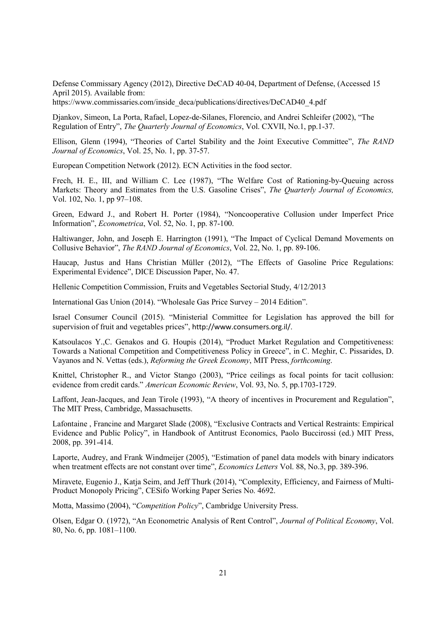Defense Commissary Agency (2012), Directive DeCAD 40-04, Department of Defense, (Accessed 15 April 2015). Available from:

https://www.commissaries.com/inside\_deca/publications/directives/DeCAD40\_4.pdf

Djankov, Simeon, La Porta, Rafael, Lopez-de-Silanes, Florencio, and Andrei Schleifer (2002), "The Regulation of Entry", *The Quarterly Journal of Economics*, Vol. CXVII, No.1, pp.1-37.

Ellison, Glenn (1994), "Theories of Cartel Stability and the Joint Executive Committee", *The RAND Journal of Economics*, Vol. 25, No. 1, pp. 37-57.

European Competition Network (2012). ECN Activities in the food sector.

Frech, H. E., III, and William C. Lee (1987), "The Welfare Cost of Rationing-by-Queuing across Markets: Theory and Estimates from the U.S. Gasoline Crises", *The Quarterly Journal of Economics,* Vol. 102, No. 1, pp 97–108.

Green, Edward J., and Robert H. Porter (1984), "Noncooperative Collusion under Imperfect Price Information", *Econometrica*, Vol. 52, No. 1, pp. 87-100.

Haltiwanger, John, and Joseph E. Harrington (1991), "The Impact of Cyclical Demand Movements on Collusive Behavior", *The RAND Journal of Economics*, Vol. 22, No. 1, pp. 89-106.

Haucap, Justus and Hans Christian Müller (2012), "The Effects of Gasoline Price Regulations: Experimental Evidence", DICE Discussion Paper, No. 47.

Hellenic Competition Commission, Fruits and Vegetables Sectorial Study, 4/12/2013

International Gas Union (2014). "Wholesale Gas Price Survey – 2014 Edition".

Israel Consumer Council (2015). "Ministerial Committee for Legislation has approved the bill for supervision of fruit and vegetables prices", http://www.consumers.org.il/.

Katsoulacos Y.,C. Genakos and G. Houpis (2014), "Product Market Regulation and Competitiveness: Towards a National Competition and Competitiveness Policy in Greece", in C. Meghir, C. Pissarides, D. Vayanos and N. Vettas (eds.), *Reforming the Greek Economy*, MIT Press, *forthcoming*.

Knittel, Christopher R., and Victor Stango (2003), "Price ceilings as focal points for tacit collusion: evidence from credit cards." *American Economic Review*, Vol. 93, No. 5, pp.1703-1729.

Laffont, Jean-Jacques, and Jean Tirole (1993), "A theory of incentives in Procurement and Regulation", The MIT Press, Cambridge, Massachusetts.

Lafontaine , Francine and Margaret Slade (2008), "Exclusive Contracts and Vertical Restraints: Empirical Evidence and Public Policy", in Handbook of Antitrust Economics, Paolo Buccirossi (ed.) MIT Press, 2008, pp. 391-414.

Laporte, Audrey, and Frank Windmeijer (2005), "Estimation of panel data models with binary indicators when treatment effects are not constant over time", *Economics Letters* Vol. 88, No.3, pp. 389-396.

Miravete, Eugenio J., Katja Seim, and Jeff Thurk (2014), "Complexity, Efficiency, and Fairness of Multi-Product Monopoly Pricing", CESifo Working Paper Series No. 4692.

Motta, Massimo (2004), "*Competition Policy*", Cambridge University Press.

Olsen, Edgar O. (1972), "An Econometric Analysis of Rent Control", *Journal of Political Economy*, Vol. 80, No. 6, pp. 1081–1100.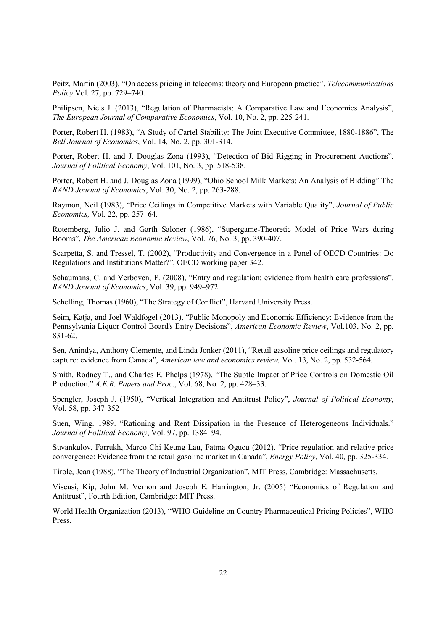Peitz, Martin (2003), "On access pricing in telecoms: theory and European practice", *Telecommunications Policy* Vol. 27, pp. 729–740.

Philipsen, Niels J. (2013), "Regulation of Pharmacists: A Comparative Law and Economics Analysis", *The European Journal of Comparative Economics*, Vol. 10, No. 2, pp. 225-241.

Porter, Robert H. (1983), "A Study of Cartel Stability: The Joint Executive Committee, 1880-1886", The *Bell Journal of Economics*, Vol. 14, No. 2, pp. 301-314.

Porter, Robert H. and J. Douglas Zona (1993), "Detection of Bid Rigging in Procurement Auctions", *Journal of Political Economy*, Vol. 101, No. 3, pp. 518-538.

Porter, Robert H. and J. Douglas Zona (1999), "Ohio School Milk Markets: An Analysis of Bidding" The *RAND Journal of Economics*, Vol. 30, No. 2, pp. 263-288.

Raymon, Neil (1983), "Price Ceilings in Competitive Markets with Variable Quality", *Journal of Public Economics,* Vol. 22, pp. 257–64.

Rotemberg, Julio J. and Garth Saloner (1986), "Supergame-Theoretic Model of Price Wars during Booms", *The American Economic Review*, Vol. 76, No. 3, pp. 390-407.

Scarpetta, S. and Tressel, T. (2002), "Productivity and Convergence in a Panel of OECD Countries: Do Regulations and Institutions Matter?", OECD working paper 342.

Schaumans, C. and Verboven, F. (2008), "Entry and regulation: evidence from health care professions". *RAND Journal of Economics*, Vol. 39, pp. 949–972.

Schelling, Thomas (1960), "The Strategy of Conflict", Harvard University Press.

Seim, Katja, and Joel Waldfogel (2013), "Public Monopoly and Economic Efficiency: Evidence from the Pennsylvania Liquor Control Board's Entry Decisions", *American Economic Review*, Vol.103, No. 2, pp. 831-62.

Sen, Anindya, Anthony Clemente, and Linda Jonker (2011), "Retail gasoline price ceilings and regulatory capture: evidence from Canada", *American law and economics review,* Vol. 13, No. 2, pp. 532-564.

Smith, Rodney T., and Charles E. Phelps (1978), "The Subtle Impact of Price Controls on Domestic Oil Production." *A.E.R. Papers and Proc*., Vol. 68, No. 2, pp. 428–33.

Spengler, Joseph J. (1950), "Vertical Integration and Antitrust Policy", *Journal of Political Economy*, Vol. 58, pp. 347-352

Suen, Wing. 1989. "Rationing and Rent Dissipation in the Presence of Heterogeneous Individuals." *Journal of Political Economy*, Vol. 97, pp. 1384–94.

Suvankulov, Farrukh, Marco Chi Keung Lau, Fatma Ogucu (2012). "Price regulation and relative price convergence: Evidence from the retail gasoline market in Canada", *Energy Policy*, Vol. 40, pp. 325-334.

Tirole, Jean (1988), "The Theory of Industrial Organization", MIT Press, Cambridge: Massachusetts.

Viscusi, Kip, John M. Vernon and Joseph E. Harrington, Jr. (2005) "Economics of Regulation and Antitrust", Fourth Edition, Cambridge: MIT Press.

World Health Organization (2013), "WHO Guideline on Country Pharmaceutical Pricing Policies", WHO Press.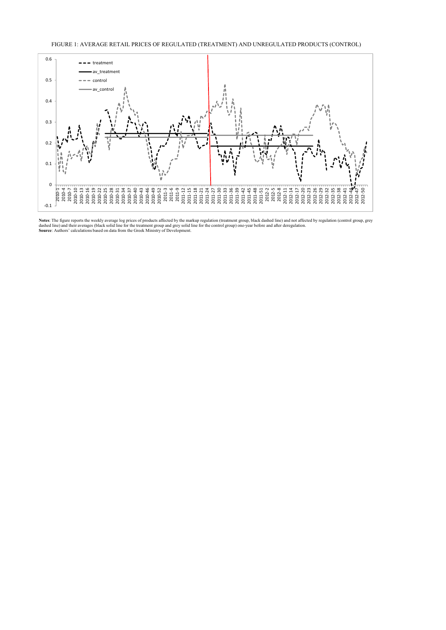FIGURE 1: AVERAGE RETAIL PRICES OF REGULATED (TREATMENT) AND UNREGULATED PRODUCTS (CONTROL)



Notes: The figure reports the weekly average log prices of products affected by the markup regulation (treatment group, black dashed line) and not affected by regulation (control group, grey<br>dashed line) and their averages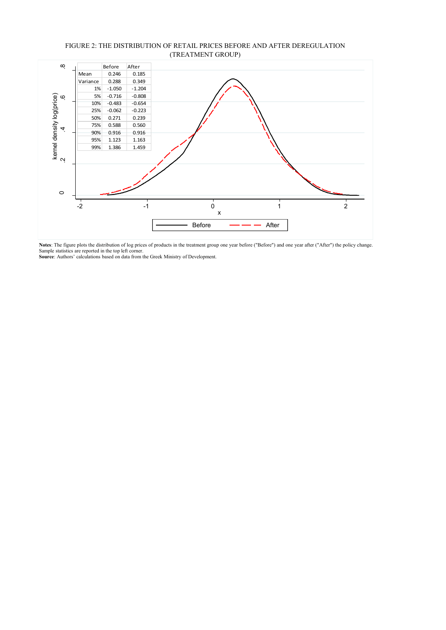

#### FIGURE 2: THE DISTRIBUTION OF RETAIL PRICES BEFORE AND AFTER DEREGULATION (TREATMENT GROUP)

**Notes**: The figure plots the distribution of log prices of products in the treatment group one year before ("Before") and one year after ("After") the policy change. Sample statistics are reported in the top left corner. **Source**: Authors' calculations based on data from the Greek Ministry of Development.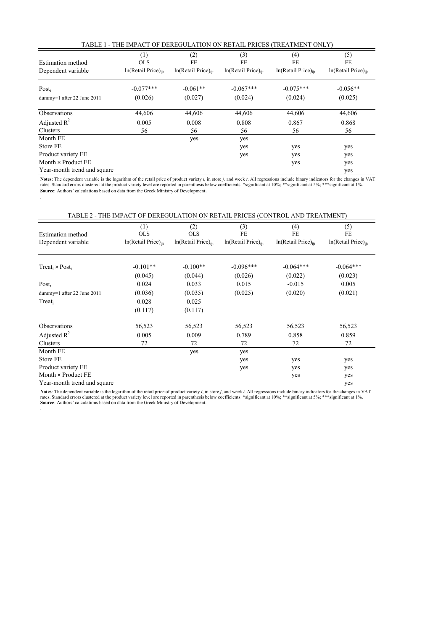| TABLE 1 - THE IMPACT OF DEREGULATION ON RETAIL PRICES (TREATMENT ONLY) |                                                      |                                                |                                                |                                              |                                                |  |
|------------------------------------------------------------------------|------------------------------------------------------|------------------------------------------------|------------------------------------------------|----------------------------------------------|------------------------------------------------|--|
| Estimation method<br>Dependent variable                                | (1)<br><b>OLS</b><br>In(Retail Price) <sub>iit</sub> | (2)<br>FE<br>$ln(Reta)$ Price) $_{\text{int}}$ | (3)<br>FE<br>$ln(Reta)$ Price) $_{\text{int}}$ | (4)<br>FE<br>In(Retail Price) <sub>iit</sub> | (5)<br>FE<br>$ln(Reta)$ Price) $_{\text{int}}$ |  |
| $Post_{t}$                                                             | $-0.077***$                                          | $-0.061**$                                     | $-0.067***$                                    | $-0.075***$                                  | $-0.056**$                                     |  |
| dummy=1 after 22 June 2011                                             | (0.026)                                              | (0.027)                                        | (0.024)                                        | (0.024)                                      | (0.025)                                        |  |
| <b>Observations</b>                                                    | 44,606                                               | 44,606                                         | 44,606                                         | 44,606                                       | 44,606                                         |  |
| Adjusted $R^2$                                                         | 0.005                                                | 0.008                                          | 0.808                                          | 0.867                                        | 0.868                                          |  |
| Clusters                                                               | 56                                                   | 56                                             | 56                                             | 56                                           | 56                                             |  |
| Month FE                                                               |                                                      | yes                                            | yes                                            |                                              |                                                |  |
| Store FE                                                               |                                                      |                                                | yes                                            | yes                                          | yes                                            |  |
| Product variety FE                                                     |                                                      |                                                | yes                                            | yes                                          | yes                                            |  |
| Month $\times$ Product FE                                              |                                                      |                                                |                                                | yes                                          | yes                                            |  |
| Year-month trend and square                                            |                                                      |                                                |                                                |                                              | yes                                            |  |

Notes: The dependent variable is the logarithm of the retail price of product variety *i*, in store *j*, and week *t*. All regressions include binary indicators for the changes in VAT rates. Standard errors clustered at th **Source**: Authors' calculations based on data from the Greek Ministry of Development.

.

.

|                                                |                                                      |                                                      |                                                | TABLE 2 - THE IMPACT OF DEREGULATION ON RETAIL PRICES (CONTROL AND TREATMENT) |                                              |
|------------------------------------------------|------------------------------------------------------|------------------------------------------------------|------------------------------------------------|-------------------------------------------------------------------------------|----------------------------------------------|
| <b>Estimation method</b><br>Dependent variable | (1)<br><b>OLS</b><br>In(Retail Price) <sub>iit</sub> | (2)<br><b>OLS</b><br>In(Retail Price) <sub>iit</sub> | (3)<br>FE<br>$ln(Reta)$ Price) $_{\text{int}}$ | (4)<br>FE<br>$ln(Reta)$ Price) $_{\text{int}}$                                | (5)<br>FE<br>In(Retail Price) <sub>iit</sub> |
| $Treat_i \times Post_t$                        | $-0.101**$<br>(0.045)                                | $-0.100**$<br>(0.044)                                | $-0.096***$<br>(0.026)                         | $-0.064***$<br>(0.022)                                                        | $-0.064***$<br>(0.023)                       |
| $Post_t$                                       | 0.024                                                | 0.033                                                | 0.015                                          | $-0.015$                                                                      | 0.005                                        |
| dummy=1 after 22 June 2011                     | (0.036)                                              | (0.035)                                              | (0.025)                                        | (0.020)                                                                       | (0.021)                                      |
| Treat                                          | 0.028                                                | 0.025                                                |                                                |                                                                               |                                              |
|                                                | (0.117)                                              | (0.117)                                              |                                                |                                                                               |                                              |
| Observations                                   | 56,523                                               | 56,523                                               | 56,523                                         | 56,523                                                                        | 56,523                                       |
| Adjusted $R^2$                                 | 0.005                                                | 0.009                                                | 0.789                                          | 0.858                                                                         | 0.859                                        |
| Clusters                                       | 72                                                   | 72                                                   | 72                                             | 72                                                                            | 72                                           |
| Month FE                                       |                                                      | yes                                                  | yes                                            |                                                                               |                                              |
| Store FE                                       |                                                      |                                                      | yes                                            | yes                                                                           | yes                                          |
| Product variety FE                             |                                                      |                                                      | yes                                            | yes                                                                           | yes                                          |
| Month $\times$ Product FE                      |                                                      |                                                      |                                                | yes                                                                           | yes                                          |
| Year-month trend and square                    |                                                      |                                                      |                                                |                                                                               | yes                                          |

Notes: The dependent variable is the logarithm of the retail price of product variety *i*, in store *j*, and week *t*. All regressions include binary indicators for the changes in VAT rates. Standard errors clustered at th **Source**: Authors' calculations based on data from the Greek Ministry of Development.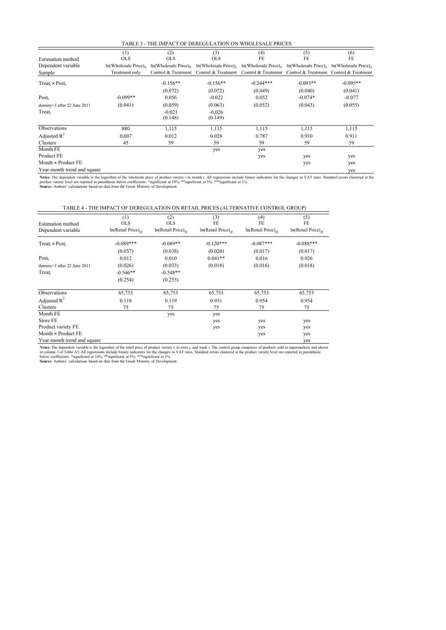| TABLE 3 - THE IMPACT OF DEREGULATION ON WHOLESALE PRICES |  |
|----------------------------------------------------------|--|
|----------------------------------------------------------|--|

|                             | (1)                        | (2)        | (3)                                                                                                                                         | (4)         | (5)        | (6)        |
|-----------------------------|----------------------------|------------|---------------------------------------------------------------------------------------------------------------------------------------------|-------------|------------|------------|
| Estimation method           | <b>OLS</b>                 | <b>OLS</b> | <b>OLS</b>                                                                                                                                  | FE          | FE         | FE         |
| Dependent variable          | $ln(Wholesale Price)_{it}$ |            | $\ln(Wholesale Price)_{it}$ $\ln(Wholesale Price)_{it}$ $\ln(Wholesale Price)_{it}$ $\ln(Wholesale Price)_{it}$ $\ln(Wholesale Price)_{it}$ |             |            |            |
| Sample                      | Treatment only             |            | Control & Treatment Control & Treatment Control & Treatment Control & Treatment Control & Treatment                                         |             |            |            |
| $Treat_i \times Post_t$     |                            | $-0.156**$ | $-0.156**$                                                                                                                                  | $-0.244***$ | $-0.093**$ | $-0.095**$ |
|                             |                            | (0.072)    | (0.072)                                                                                                                                     | (0.049)     | (0.040)    | (0.041)    |
| $Post_t$                    | $-0.099**$                 | 0.056      | $-0.022$                                                                                                                                    | 0.052       | $-0.074*$  | $-0.077$   |
| dummy=1 after 22 June 2011  | (0.041)                    | (0.059)    | (0.063)                                                                                                                                     | (0.052)     | (0.043)    | (0.055)    |
| Treat,                      |                            | $-0.021$   | $-0.026$                                                                                                                                    |             |            |            |
|                             |                            | (0.148)    | (0.149)                                                                                                                                     |             |            |            |
| Observations                | 880                        | 1,115      | 1,115                                                                                                                                       | 1,115       | 1,115      | 1,115      |
| Adjusted $R^2$              | 0.007                      | 0.012      | 0.028                                                                                                                                       | 0.787       | 0.910      | 0.911      |
| Clusters                    | 45                         | 59         | 59                                                                                                                                          | 59          | 59         | 59         |
| Month FE                    |                            |            | yes                                                                                                                                         | yes         |            |            |
| Product FE                  |                            |            |                                                                                                                                             | yes         | yes        | yes        |
| Month $\times$ Product FE   |                            |            |                                                                                                                                             |             | yes        | yes        |
| Year-month trend and square |                            |            |                                                                                                                                             |             |            | yes        |

Notes: The dependent variable is the logarithm of the wholesale price of product variety *i* in month *t*. All regressions include binary indicators for the changes in VAT rates. Standard errors clustered at the Standard e

TABLE 4 - THE IMPACT OF DEREGULATION ON RETAIL PRICES (ALTERNATIVE CONTROL GROUP)

|                             | (1)                             | (2)                             | (3)                               | (4)                             | (5)                              |
|-----------------------------|---------------------------------|---------------------------------|-----------------------------------|---------------------------------|----------------------------------|
| <b>Estimation</b> method    | <b>OLS</b>                      | <b>OLS</b>                      | FE                                | FE                              | FE                               |
| Dependent variable          | In(Retail Price) <sub>iit</sub> | In(Retail Price) <sub>iit</sub> | $ln(Reta)$ Price) $_{\text{int}}$ | In(Retail Price) <sub>iit</sub> | $ln(Reta)$ Price) <sub>iit</sub> |
| $Treat_i \times Post_t$     | $-0.089***$                     | $-0.089**$                      | $-0.120***$                       | $-0.087***$                     | $-0.088***$                      |
|                             | (0.037)                         | (0.038)                         | (0.020)                           | (0.017)                         | (0.017)                          |
| $Post_t$                    | 0.012                           | 0.010                           | $0.041**$                         | 0.016                           | 0.026                            |
| dummy=1 after 22 June 2011  | (0.026)                         | (0.033)                         | (0.018)                           | (0.016)                         | (0.018)                          |
| Treat,                      | $-0.546**$                      | $-0.548**$                      |                                   |                                 |                                  |
|                             | (0.254)                         | (0.255)                         |                                   |                                 |                                  |
| <b>Observations</b>         | 65,753                          | 65,753                          | 65,753                            | 65,753                          | 65,753                           |
| Adjusted $R^2$              | 0.118                           | 0.119                           | 0.931                             | 0.954                           | 0.954                            |
| Clusters                    | 75                              | 75                              | 75                                | 75                              | 75                               |
| Month FE                    |                                 | yes                             | yes                               |                                 |                                  |
| Store FE                    |                                 |                                 | yes                               | yes                             | yes                              |
| Product variety FE          |                                 |                                 | yes                               | yes                             | yes                              |
| Month $\times$ Product FE   |                                 |                                 |                                   | yes                             | yes                              |
| Year-month trend and square |                                 |                                 |                                   |                                 | yes                              |

Notes: The dependent variable is the logarithm of the retail price of product variety *i*, in store *j*, and week *t*. The control group comprises of products sold in supermarkets and shown<br>in column 3 of Table A3. All reg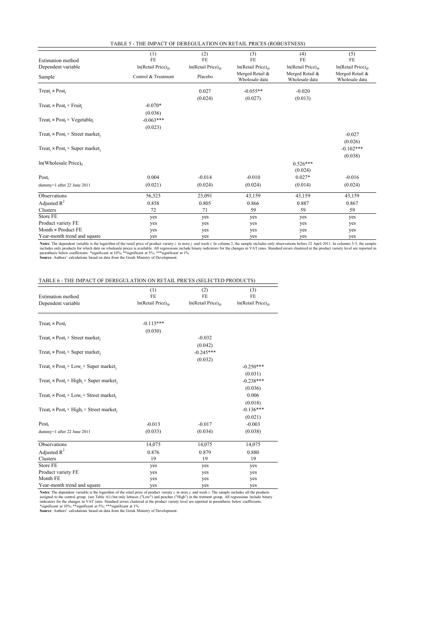| TABLE 5 - THE IMPACT OF DEREGULATION ON RETAIL PRICES (ROBUSTNESS) |  |  |  |
|--------------------------------------------------------------------|--|--|--|
|--------------------------------------------------------------------|--|--|--|

| <b>Estimation</b> method                                                         | (1)<br>FE                       | (2)<br>FE                       | (3)<br>FE                         | (4)<br>FE                         | (5)<br>FE                         |
|----------------------------------------------------------------------------------|---------------------------------|---------------------------------|-----------------------------------|-----------------------------------|-----------------------------------|
| Dependent variable                                                               | In(Retail Price) <sub>iit</sub> | In(Retail Price) <sub>iit</sub> | $ln(Reta)$ Price) $_{ii}$         | In(Retail Price) <sub>iit</sub>   | $ln(Reta)$ Price) $_{\text{int}}$ |
| Sample                                                                           | Control & Treatment             | Placebo                         | Merged Retail &<br>Wholesale data | Merged Retail &<br>Wholesale data | Merged Retail &<br>Wholesale data |
| Treat <sub>i</sub> $\times$ Post <sub>t</sub>                                    |                                 | 0.027                           | $-0.055**$                        | $-0.020$                          |                                   |
|                                                                                  |                                 | (0.024)                         | (0.027)                           | (0.013)                           |                                   |
| Treat <sub>i</sub> × Post <sub>t</sub> × Fruit <sub>i</sub>                      | $-0.070*$                       |                                 |                                   |                                   |                                   |
|                                                                                  | (0.036)                         |                                 |                                   |                                   |                                   |
| Treat <sub>i</sub> × Post <sub>t</sub> × Vegetable <sub>i</sub>                  | $-0.063***$                     |                                 |                                   |                                   |                                   |
|                                                                                  | (0.023)                         |                                 |                                   |                                   |                                   |
| $Treat_i \times Post_t \times Street market_i$                                   |                                 |                                 |                                   |                                   | $-0.027$                          |
|                                                                                  |                                 |                                 |                                   |                                   | (0.026)                           |
| Treat <sub>i</sub> $\times$ Post <sub>t</sub> $\times$ Super market <sub>i</sub> |                                 |                                 |                                   |                                   | $-0.102***$                       |
|                                                                                  |                                 |                                 |                                   |                                   | (0.038)                           |
| $ln(Wholesale Price)_{it}$                                                       |                                 |                                 |                                   | $0.526***$                        |                                   |
|                                                                                  |                                 |                                 |                                   | (0.024)                           |                                   |
| $Post_t$                                                                         | 0.004                           | $-0.014$                        | $-0.010$                          | $0.027*$                          | $-0.016$                          |
| dummy=1 after 22 June 2011                                                       | (0.021)                         | (0.024)                         | (0.024)                           | (0.014)                           | (0.024)                           |
| Observations                                                                     | 56,523                          | 23,091                          | 43,159                            | 43,159                            | 43,159                            |
| Adjusted $R^2$                                                                   | 0.858                           | 0.805                           | 0.866                             | 0.887                             | 0.867                             |
| Clusters                                                                         | 72                              | 71                              | 59                                | 59                                | 59                                |
| Store FE                                                                         | yes                             | yes                             | yes                               | yes                               | yes                               |
| Product variety FE                                                               | yes                             | yes                             | yes                               | yes                               | yes                               |
| Month $\times$ Product FE                                                        | yes                             | yes                             | yes                               | yes                               | yes                               |
| Year-month trend and square                                                      | yes                             | yes                             | yes                               | yes                               | yes                               |

Notes: The dependent variable is the logarithm of the retail price of product variety *i*, in store *j*, and week *t*. In column 2, the sample includes only observations before 22 April 2011. In columns 3-5, the sample inc

#### TABLE 6 - THE IMPACT OF DEREGULATION ON RETAIL PRICES (SELECTED PRODUCTS)

| <b>Estimation</b> method                                                                | (1)<br>FE                       | (2)<br>FE                       | (3)<br>FE                 |
|-----------------------------------------------------------------------------------------|---------------------------------|---------------------------------|---------------------------|
| Dependent variable                                                                      | In(Retail Price) <sub>ijt</sub> | In(Retail Price) <sub>iit</sub> | $ln(Reta)$ Price) $_{ii}$ |
| $Treat_i \times Post_t$                                                                 | $-0.113***$                     |                                 |                           |
|                                                                                         | (0.030)                         |                                 |                           |
| Treat, $\times$ Post, $\times$ Street market,                                           |                                 | $-0.032$                        |                           |
|                                                                                         |                                 | (0.042)                         |                           |
| Treat <sub>i</sub> × Post <sub>t</sub> × Super market <sub>i</sub>                      |                                 | $-0.245***$                     |                           |
|                                                                                         |                                 | (0.032)                         |                           |
| Treat <sub>i</sub> × Post <sub>t</sub> × Low <sub>i</sub> × Super market <sub>i</sub>   |                                 |                                 | $-0.250***$               |
|                                                                                         |                                 |                                 | (0.031)                   |
| Treat <sub>i</sub> × Post <sub>t</sub> × High <sub>i</sub> × Super market <sub>i</sub>  |                                 |                                 | $-0.238***$               |
|                                                                                         |                                 |                                 | (0.036)                   |
| Treat, $\times$ Post, $\times$ Low <sub>i</sub> $\times$ Street market,                 |                                 |                                 | 0.006                     |
|                                                                                         |                                 |                                 | (0.018)                   |
| Treat <sub>i</sub> × Post <sub>t</sub> × High <sub>i</sub> × Street market <sub>i</sub> |                                 |                                 | $-0.136***$               |
|                                                                                         |                                 |                                 | (0.021)                   |
| $Post_t$                                                                                | $-0.013$                        | $-0.017$                        | $-0.003$                  |
| dummy=1 after 22 June 2011                                                              | (0.033)                         | (0.034)                         | (0.038)                   |
|                                                                                         |                                 |                                 |                           |
| Observations                                                                            | 14,075                          | 14,075                          | 14,075                    |
| Adjusted $R^2$                                                                          | 0.876                           | 0.879                           | 0.880                     |
| Clusters                                                                                | 19                              | 19                              | 19                        |
| Store FE                                                                                | yes                             | yes                             | yes                       |
| Product variety FE                                                                      | yes                             | yes                             | yes                       |
| Month FE                                                                                | yes                             | yes                             | yes                       |
| Year-month trend and square                                                             | yes                             | yes                             | yes                       |

Notes: The dependent variable is the logarithm of the retail price of product variety *i*, in store *j*, and week *t*. The sample includes all the products assigned to the control group (see Table A1) but only lettuces ("L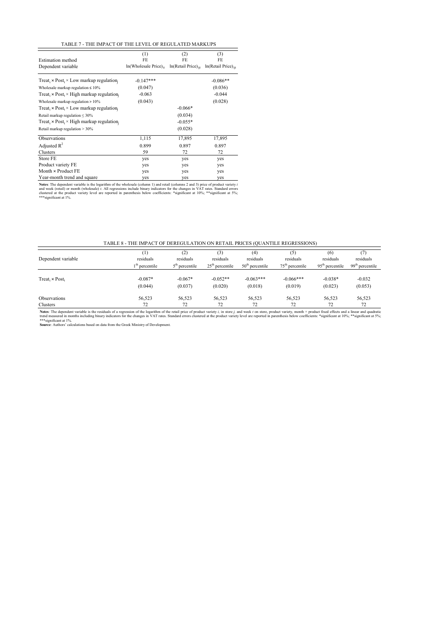| <b>Estimation method</b><br>Dependent variable                                 | (1)<br>FE<br>$ln(Wholesale Price)_{it}$ | (2)<br>FE<br>$ln(Reta)$ Price) $_{\text{int}}$ | (3)<br>FE<br>$ln(Retail Price)_{\text{iii}}$ |
|--------------------------------------------------------------------------------|-----------------------------------------|------------------------------------------------|----------------------------------------------|
| Treat, $\times$ Post, $\times$ Low markup regulation.                          | $-0.147***$                             |                                                | $-0.086**$                                   |
| Wholesale markup regulation $\leq 10\%$                                        | (0.047)                                 |                                                | (0.036)                                      |
| Treat <sub>i</sub> $\times$ Post <sub>t</sub> $\times$ High markup regulation. | $-0.063$                                |                                                | $-0.044$                                     |
| Wholesale markup regulation > 10%                                              | (0.043)                                 |                                                | (0.028)                                      |
| Treat, $\times$ Post, $\times$ Low markup regulation.                          |                                         | $-0.066*$                                      |                                              |
| Retail markup regulation $\leq 30\%$                                           |                                         | (0.034)                                        |                                              |
| Treat <sub>i</sub> $\times$ Post <sub>t</sub> $\times$ High markup regulation. |                                         | $-0.055*$                                      |                                              |
| Retail markup regulation $> 30\%$                                              |                                         | (0.028)                                        |                                              |
| Observations                                                                   | 1,115                                   | 17,895                                         | 17,895                                       |
| Adjusted $R^2$                                                                 | 0.899                                   | 0.897                                          | 0.897                                        |
| Clusters                                                                       | 59                                      | 72                                             | 72                                           |
| Store FE                                                                       | yes                                     | yes                                            | yes                                          |
| Product variety FE                                                             | yes                                     | yes                                            | yes                                          |
| Month $\times$ Product FE                                                      | yes                                     | yes                                            | yes                                          |
| Year-month trend and square                                                    | yes                                     | yes                                            | yes                                          |

Notes: The dependent variable is the logarithm of the wholesale (column 1) and retail (columns 2 and 3) price of product variety is<br>and week (retail) or month (wholesale) *t*. All regressions include binary indicators for

#### TABLE 8 - THE IMPACT OF DEREGULATION ON RETAIL PRICES (QUANTILE REGRESSIONS)

| Dependent variable      | residuals<br>$1th$ percentile | $\left( 2\right)$<br>residuals<br>$5th$ percentile | (3)<br>residuals<br>$25th$ percentile | $^{(4)}$<br>residuals<br>$50th$ percentile | [5]<br>residuals<br>$75th$ percentile | (6)<br>residuals<br>$95th$ percentile | residuals<br>$99th$ percentile |
|-------------------------|-------------------------------|----------------------------------------------------|---------------------------------------|--------------------------------------------|---------------------------------------|---------------------------------------|--------------------------------|
|                         |                               |                                                    |                                       |                                            |                                       |                                       |                                |
| $Treat_i \times Post_t$ | $-0.087*$<br>(0.044)          | $-0.067*$<br>(0.037)                               | $-0.052**$<br>(0.020)                 | $-0.063***$<br>(0.018)                     | $-0.066***$<br>(0.019)                | $-0.038*$<br>(0.023)                  | $-0.032$<br>(0.053)            |
| Observations            | 56,523                        | 56.523                                             | 56,523                                | 56,523                                     | 56.523                                | 56,523                                | 56,523                         |
| Clusters                | 72                            | 72                                                 | 72                                    | 72                                         | 72                                    | 72                                    | 72                             |

Notes: The dependent variable is the residuals of a regression of the logarithm of the retail price of product variety, i, in store j, and week t on store, product variety, month × product fixed effects and a linear and qu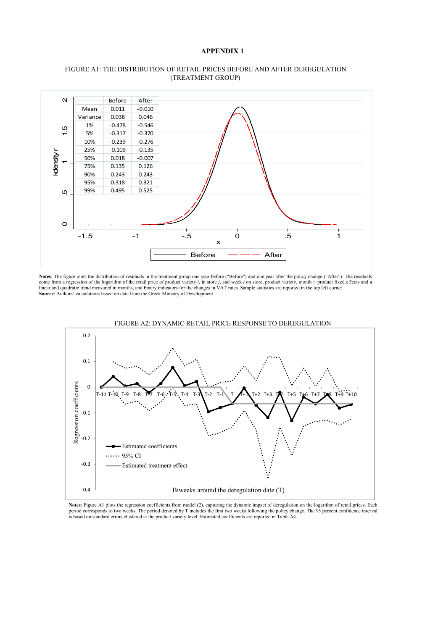#### **APPENDIX 1**



#### FIGURE A1: THE DISTRIBUTION OF RETAIL PRICES BEFORE AND AFTER DEREGULATION (TREATMENT GROUP)

**Notes**: The figure plots the distribution of residuals in the treatment group one year before ("Before") and one year after the policy change ("After"). The residuals come from a regression of the logarithm of the retail price of product variety *i*, in store *j*, and week *t* on store, product variety, month × product fixed effects and a linear and quadratic trend measured in months, a **Source**: Authors' calculations based on data from the Greek Ministry of Development.





Notes: Figure A1 plots the regression coefficients from model (2), capturing the dynamic impact of deregulation on the logarithm of retail prices. Each<br>period corresponds to two weeks. The period denoted by T includes the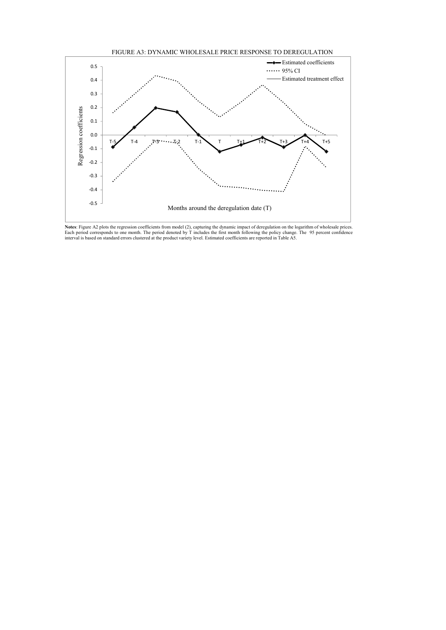



Notes: Figure A2 plots the regression coefficients from model (2), capturing the dynamic impact of deregulation on the logarithm of wholesale prices.<br>Each period corresponds to one month. The period denoted by T includes t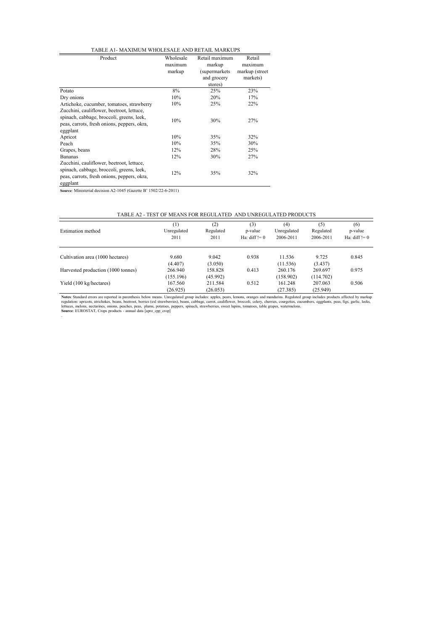#### TABLE A1- MAXIMUM WHOLESALE AND RETAIL MARKUPS

| Product                                                                                                                                           | Wholesale<br>maximum<br>markup | Retail maximum<br>markup<br>(supermarkets)<br>and grocery<br>stores) | Retail<br>maximum<br>markup (street<br>markets) |  |
|---------------------------------------------------------------------------------------------------------------------------------------------------|--------------------------------|----------------------------------------------------------------------|-------------------------------------------------|--|
| Potato                                                                                                                                            | 8%                             | 25%                                                                  | 23%                                             |  |
| Dry onions                                                                                                                                        | 10%                            | 20%                                                                  | 17%                                             |  |
| Artichoke, cucumber, tomatoes, strawberry                                                                                                         | 10%                            | 25%                                                                  | 22%                                             |  |
| Zucchini, cauliflower, beetroot, lettuce,<br>spinach, cabbage, broccoli, greens, leek,<br>peas, carrots, fresh onions, peppers, okra,<br>eggplant | 10%                            | 30%                                                                  | 27%                                             |  |
| Apricot                                                                                                                                           | 10%                            | 35%                                                                  | 32%                                             |  |
| Peach                                                                                                                                             | 10%                            | 35%                                                                  | 30%                                             |  |
| Grapes, beans                                                                                                                                     | 12%                            | 28%                                                                  | 25%                                             |  |
| <b>Bananas</b>                                                                                                                                    | 12%                            | 30%                                                                  | 27%                                             |  |
| Zucchini, cauliflower, beetroot, lettuce,<br>spinach, cabbage, broccoli, greens, leek,<br>peas, carrots, fresh onions, peppers, okra,<br>eggplant | 12%                            | 35%                                                                  | 32%                                             |  |

**Source**: Ministerial decision A2-1045 (Gazette B' 1502/22-6-2011)

| <b>Estimation method</b>           | $^{(1)}$<br>Unregulated<br>2011 | (2)<br>Regulated<br>2011 | (3)<br>p-value<br>Ha: $diff != 0$ | (4)<br>Unregulated<br>2006-2011 | (5)<br>Regulated<br>2006-2011 | (6)<br>p-value<br>Ha: $diff != 0$ |
|------------------------------------|---------------------------------|--------------------------|-----------------------------------|---------------------------------|-------------------------------|-----------------------------------|
| Cultivation area (1000 hectares)   | 9.680<br>(4.407)                | 9.042<br>(3.050)         | 0.938                             | 11.536<br>(11.536)              | 9.725<br>(3.437)              | 0.845                             |
| Harvested production (1000 tonnes) | 266,940<br>(155.196)            | 158.828<br>(45.992)      | 0.413                             | 260.176<br>(158.902)            | 269.697<br>(114.702)          | 0.975                             |
| Yield (100 kg/hectares)            | 167.560<br>(26.925)             | 211.584<br>(26.053)      | 0.512                             | 161.248<br>(27.385)             | 207.063<br>(25.949)           | 0.506                             |

Notes: Standard errors are reported in parenthesis below means. Unregulated group includes: apples, pears, lemons, oranges and mandarins. Regulated group includes products affected by markup eltuscs, atrichokes, beams, bet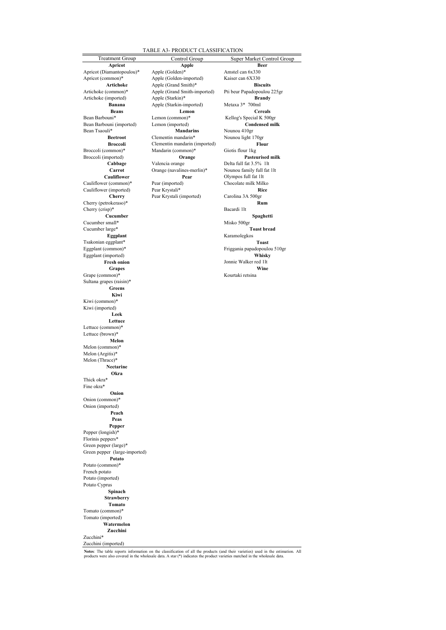#### TABLE A3- PRODUCT CLASSIFICATION

Treatment Group Control Group Control Group Super Market Control Group **Beans** Lemon<br>
Bean Barbouni<sup>\*</sup> Lemon (common)<sup>\*</sup> Bean Barbouni (imported) Lemon (imported)<br>Bean Tsaouli<sup>\*</sup> **Mandarins** Cauliflower (common)\* Pear (imported<br>Cauliflower (imported) Pear Krystali\* Cauliflower (imported) Pear Krystali<sup>\*</sup> **Rice**<br> **Cherry** Pear Krystali (imported) Carolina 3A 500gr Cherry (petrokeraso)\* **Rum** Cherry (crisp)\*<br>Cucumber Cucumber small\* Misko 500gr Misko 500gr Toast bread Cucumber large\*<br>**Eggplant** Tsakonian eggplant\*<br> **Toast**<br> **Toast**<br> **Toast**<br> **Toast**<br> **Toast**<br> **Toast**<br> **Toast**<br> **Toast**<br> **Toast**<br> **Toast** Eggplant (imported) **Whisky Grapes Constanting Constanting Constanting Constanting Constanting Constanting Constanting Constanting Constanting Constanting Constanting Constanting Constanting Constanting Constanting Constanting Constanting Constant**  $Grape$  (common)\* Sultana grapes (raisin)\* **Greens Kiwi** Kiwi (common)\* Kiwi (imported) **Leek Lettuce** Lettuce (common)\* Lettuce (brown)\* **Melon** Melon (common)\* Melon (Argitis)\* Melon (Thrace)\* **Nectarine Okra** Thick okra\* Fine okra\* **Onion** Onion (common)\* Onion (imported) **Peach Peas Pepper** Pepper (longish)\* Florinis peppers\* Green pepper (large)\* Green pepper (large-imported) **Potato** Potato (common)\* French potato Potato (imported) Potato Cyprus **Spinach Strawberry Tomato** Tomato (common)\* Tomato (imported) **Watermelon Zucchini** Zucchini\* Zucchini (imported)

Apricot **Apple Beer** Apricot (Diamantopoulou)\* Apple (Golden)\* Amstel can 6x330<br>Apricot (common)\* Apple (Golden-imported) Kaiser can 6X330 Apple (Golden-imported)<br>Artichoke Apple (Grand Smith)\* Apple (Grand Smith)\* **Biscuits**<br>Apple (Grand Smith-imported) Pti beur Papadopoulou 225gr Artichoke (common)\* Apple (Grand Smith-imported) Artichoke (imported) <br> **Brandy Brandy** <br> **Brandy** <br> **Apple (Starkin-imported)** <br> **Metaxa 3\*** 700ml **Banana** Apple (Starkin-imported) Metaxa 3<sup>\*</sup> 700ml<br> **Beans** Lemon Cereals Lemon (common)\* <br>
Barbouni Kellog's Special K 500gr<br> **Condensed milk** Condensed milk External Mandarins<br>
Rectroot Clementin mandarin<sup>\*</sup> Nounou light **Broccoli** Clementin mandarin (imported) **Flour**<br>Broccoli (common)\* Mandarin (common)\* Giotis flour 1kg Mandarin (common)\* Broccoli (imported) **Orange** Pasteurised milk<br> **Cabbage** Valencia orange Delta full fat 3.5% 1lt **Cabbage** Valencia orange Delta full fat 3.5% 11t<br> **Carrot** Orange (navalines-merlin)\* Nounou family full fat 1lt **Carrot** Orange (navalines-merlin)\*<br> **Cauliflower Pear Pear** Olympos full fat 1lt<br>
Pear (imported) Chocolate milk Milko Pear Krystali (imported)

**Beetlem** Beetlement 170gr **Cucha Cucci**<br> **Cucha Cucci**<br> **Cucci**<br> **Cucci**<br> **Cucci**<br> **Cucci**<br> **Cucci**<br> **Cucci**<br> **Cucci**<br> **Cucci**<br> **Cucci**<br> **Cucci**<br> **Cucci**<br> **Cucci**<br> **Cucci**<br> **Cucci**<br> **Cucci**<br> **Cucci**<br> **Cucci**<br> **Cucci**<br> **Cucci**<br> **Cucci**<br> **Cucci**<br> **Cu Eggplant** Karamolegkos Friggania papadopoulou 510gr **Fresh onion**<br>**Fresh onion**<br>**Grapes Wine** 

Notes: The table reports information on the classification of all the products (and their varieties) used in the estimation. All<br>products were also covered in the wholesale data. A star (\*) indicates the product varieties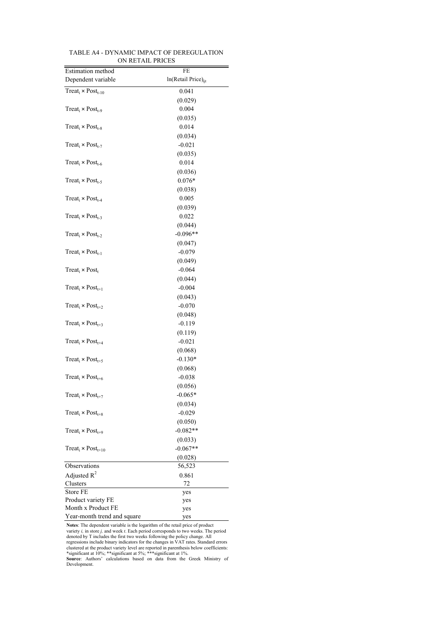|                                                  | FE                              |
|--------------------------------------------------|---------------------------------|
| Estimation method                                |                                 |
| Dependent variable                               | ln(Retail Price) <sub>iit</sub> |
| Treat <sub>i</sub> × Post <sub>t-10</sub>        | 0.041                           |
|                                                  | (0.029)                         |
| Treat <sub>i</sub> $\times$ Post <sub>t-9</sub>  | 0.004                           |
|                                                  | (0.035)                         |
| Treat <sub>i</sub> × Post <sub>t-8</sub>         | 0.014                           |
|                                                  | (0.034)                         |
| Treat <sub>i</sub> × Post <sub>t-7</sub>         | $-0.021$                        |
|                                                  | (0.035)                         |
| Treat <sub>i</sub> $\times$ Post <sub>t-6</sub>  | 0.014                           |
|                                                  | (0.036)                         |
| Treat <sub>i</sub> $\times$ Post <sub>t-5</sub>  | $0.076*$                        |
|                                                  | (0.038)                         |
| Treat <sub>i</sub> $\times$ Post <sub>t-4</sub>  | 0.005                           |
|                                                  | (0.039)                         |
| Treat <sub>i</sub> $\times$ Post <sub>t-3</sub>  | 0.022                           |
|                                                  | (0.044)                         |
| $Treat_i \times Post_{t-2}$                      | $-0.096**$                      |
|                                                  |                                 |
|                                                  | (0.047)                         |
| Treat <sub>i</sub> $\times$ Post <sub>t-1</sub>  | $-0.079$                        |
|                                                  | (0.049)                         |
| Treat <sub>i</sub> $\times$ Post <sub>t</sub>    | $-0.064$                        |
|                                                  | (0.044)                         |
| Treat <sub>i</sub> $\times$ Post <sub>t+1</sub>  | $-0.004$                        |
|                                                  | (0.043)                         |
| $Treat_i \times Post_{t+2}$                      | $-0.070$                        |
|                                                  | (0.048)                         |
| $Treat_i \times Post_{t+3}$                      | $-0.119$                        |
|                                                  | (0.119)                         |
| $Treat_i \times Post_{t+4}$                      | $-0.021$                        |
|                                                  | (0.068)                         |
| $Treat_i \times Post_{t+5}$                      | $-0.130*$                       |
|                                                  | (0.068)                         |
| Treat <sub>i</sub> × Post <sub>t+6</sub>         | $-0.038$                        |
|                                                  | (0.056)                         |
| Treat <sub>i</sub> × Post <sub>t+7</sub>         | $-0.065*$                       |
|                                                  | (0.034)                         |
| Treat <sub>i</sub> $\times$ Post <sub>t+8</sub>  | $-0.029$                        |
|                                                  | (0.050)                         |
| Treat <sub>i</sub> $\times$ Post <sub>t+9</sub>  | $-0.082**$                      |
|                                                  |                                 |
|                                                  | (0.033)                         |
| Treat <sub>i</sub> $\times$ Post <sub>t+10</sub> | $-0.067**$                      |
|                                                  | (0.028)                         |
| Observations                                     | 56,523                          |
| Adjusted $R^2$                                   | 0.861                           |
| Clusters                                         | 72                              |
| Store FE                                         | yes                             |
| Product variety FE                               | yes                             |
| Month x Product FE                               | yes                             |
| Year-month trend and square                      | yes                             |

TABLE A4 - DYNAMIC IMPACT OF DEREGULATION ON RETAIL PRICES

**Notes:** The dependent variable is the logarithm of the retail price of product variety  $l_i$  in store  $j_i$  and week  $t$ . Each period corresponds to two weeks. The period denoted by T includes the frist two weeks following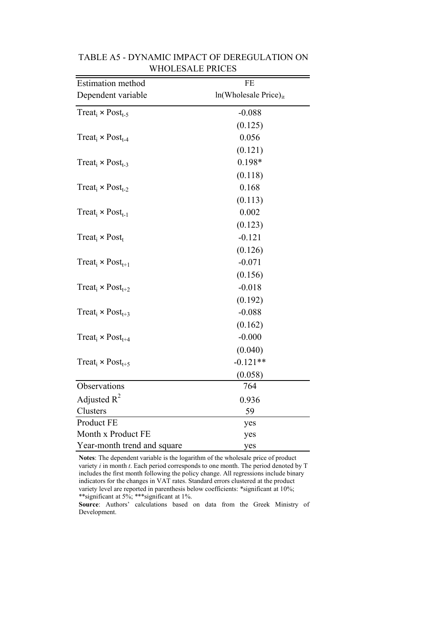| Estimation method                               | FE                         |
|-------------------------------------------------|----------------------------|
| Dependent variable                              | $ln(Wholesale Price)_{it}$ |
| Treat <sub>i</sub> $\times$ Post <sub>t-5</sub> | $-0.088$                   |
|                                                 | (0.125)                    |
| Treat <sub>i</sub> $\times$ Post <sub>t-4</sub> | 0.056                      |
|                                                 | (0.121)                    |
| Treat <sub>i</sub> $\times$ Post <sub>t-3</sub> | 0.198*                     |
|                                                 | (0.118)                    |
| Treat <sub>i</sub> $\times$ Post <sub>t-2</sub> | 0.168                      |
|                                                 | (0.113)                    |
| Treat <sub>i</sub> $\times$ Post <sub>t-1</sub> | 0.002                      |
|                                                 | (0.123)                    |
| Treat <sub>i</sub> $\times$ Post <sub>t</sub>   | $-0.121$                   |
|                                                 | (0.126)                    |
| Treat <sub>i</sub> $\times$ Post <sub>t+1</sub> | $-0.071$                   |
|                                                 | (0.156)                    |
| Treat <sub>i</sub> $\times$ Post <sub>t+2</sub> | $-0.018$                   |
|                                                 | (0.192)                    |
| Treat <sub>i</sub> $\times$ Post <sub>t+3</sub> | $-0.088$                   |
|                                                 | (0.162)                    |
| Treat <sub>i</sub> $\times$ Post <sub>t+4</sub> | $-0.000$                   |
|                                                 | (0.040)                    |
| Treat <sub>i</sub> $\times$ Post <sub>t+5</sub> | $-0.121**$                 |
|                                                 | (0.058)                    |
| Observations                                    | 764                        |
| Adjusted $R^2$                                  | 0.936                      |
| Clusters                                        | 59                         |
| Product FE                                      | yes                        |
| Month x Product FE                              | yes                        |
| Year-month trend and square                     | yes                        |

### TABLE A5 - DYNAMIC IMPACT OF DEREGULATION ON WHOLESALE PRICES

**Notes**: The dependent variable is the logarithm of the wholesale price of product variety *i* in month *t*. Each period corresponds to one month. The period denoted by T includes the first month following the policy change. All regressions include binary indicators for the changes in VAT rates. Standard errors clustered at the product variety level are reported in parenthesis below coefficients: \*significant at 10%; \*\*significant at 5%; \*\*\*significant at 1%.

**Source**: Authors' calculations based on data from the Greek Ministry of Development.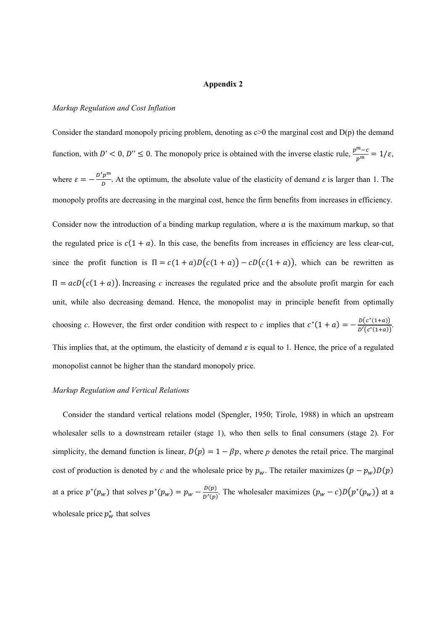#### **Appendix 2**

#### *Markup Regulation and Cost Inflation*

Consider the standard monopoly pricing problem, denoting as  $c>0$  the marginal cost and  $D(p)$  the demand function, with  $D' < 0$ ,  $D'' \le 0$ . The monopoly price is obtained with the inverse elastic rule,  $\frac{p^m - c}{p^m} = 1/\varepsilon$ , where  $\varepsilon = -\frac{D'p^m}{D}$  $\frac{p}{D}$ . At the optimum, the absolute value of the elasticity of demand  $\varepsilon$  is larger than 1. The monopoly profits are decreasing in the marginal cost, hence the firm benefits from increases in efficiency. Consider now the introduction of a binding markup regulation, where  $\alpha$  is the maximum markup, so that the regulated price is  $c(1 + a)$ . In this case, the benefits from increases in efficiency are less clear-cut, since the profit function is  $\Pi = c(1 + a)D(c(1 + a)) - cD(c(1 + a))$ , which can be rewritten as  $\Pi = acD(c(1 + a))$ . Increasing *c* increases the regulated price and the absolute profit margin for each unit, while also decreasing demand. Hence, the monopolist may in principle benefit from optimally choosing *c*. However, the first order condition with respect to *c* implies that  $c^*(1 + a) = -\frac{D(c^*(1+a))}{D'(c^*(1+a))}$  $rac{D(c^{*}(1+a))}{D'(c^{*}(1+a))}$ . This implies that, at the optimum, the elasticity of demand  $\varepsilon$  is equal to 1. Hence, the price of a regulated monopolist cannot be higher than the standard monopoly price.

#### *Markup Regulation and Vertical Relations*

Consider the standard vertical relations model (Spengler, 1950; Tirole, 1988) in which an upstream wholesaler sells to a downstream retailer (stage 1), who then sells to final consumers (stage 2). For simplicity, the demand function is linear,  $D(p) = 1 - \beta p$ , where *p* denotes the retail price. The marginal cost of production is denoted by *c* and the wholesale price by  $p_w$ . The retailer maximizes  $(p - p_w)D(p)$ at a price  $p^*(p_w)$  that solves  $p^*(p_w) = p_w - \frac{p(p)}{p'(p_w)}$  $\frac{D(p)}{D'(p)}$ . The wholesaler maximizes  $(p_w - c)D(p^*(p_w))$  at a wholesale price  $p_w^*$  that solves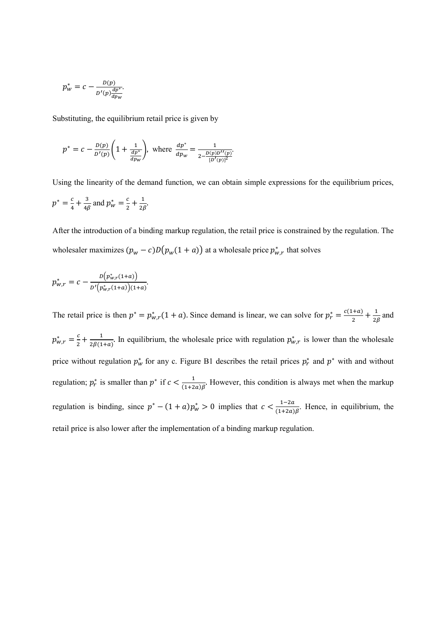$$
p_W^* = c - \frac{D(p)}{D'(p)\frac{dp^*}{dp_W}}.
$$

Substituting, the equilibrium retail price is given by

$$
p^* = c - \frac{D(p)}{D'(p)} \left( 1 + \frac{1}{\frac{dp^*}{dp_w}} \right), \text{ where } \frac{dp^*}{dp_w} = \frac{1}{2 - \frac{D(p)D''(p)}{[D'(p)]^2}}.
$$

Using the linearity of the demand function, we can obtain simple expressions for the equilibrium prices,  $p^*=\frac{c}{4}$  $\frac{c}{4} + \frac{3}{4\beta}$  and  $p_w^* = \frac{c}{2}$  $\frac{c}{2} + \frac{1}{2\beta}$ .

After the introduction of a binding markup regulation, the retail price is constrained by the regulation. The wholesaler maximizes  $(p_w - c)D(p_w(1 + a))$  at a wholesale price  $p_{w,r}^*$  that solves

$$
p_{w,r}^{*}=c-\frac{b(p_{w,r}^{*}(1+a))}{b'(p_{w,r}^{*}(1+a))(1+a)}.
$$

The retail price is then  $p^* = p^*_{w,r}(1 + a)$ . Since demand is linear, we can solve for  $p^*_r = \frac{c(1+a)}{2}$  $\frac{1+a}{2} + \frac{1}{2\beta}$  and  $p_{w,r}^* = \frac{c}{2}$  $\frac{c}{2} + \frac{1}{2\beta(1+a)}$ . In equilibrium, the wholesale price with regulation  $p_{w,r}^*$  is lower than the wholesale price without regulation  $p_w^*$  for any c. Figure B1 describes the retail prices  $p_r^*$  and  $p^*$  with and without regulation;  $p_r^*$  is smaller than  $p^*$  if  $c < \frac{1}{(1+z)^2}$  $\frac{1}{(1+2a)\beta}$ . However, this condition is always met when the markup regulation is binding, since  $p^* - (1 + a)p_w^* > 0$  implies that  $c < \frac{1-2a}{(1+2a)}$  $\frac{1-2a}{(1+2a)\beta}$ . Hence, in equilibrium, the retail price is also lower after the implementation of a binding markup regulation.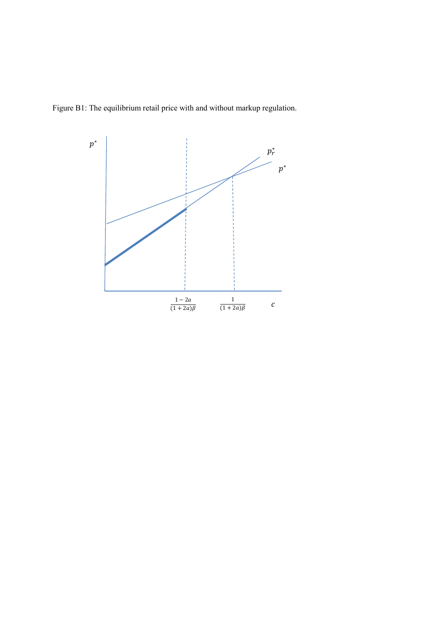Figure B1: The equilibrium retail price with and without markup regulation.

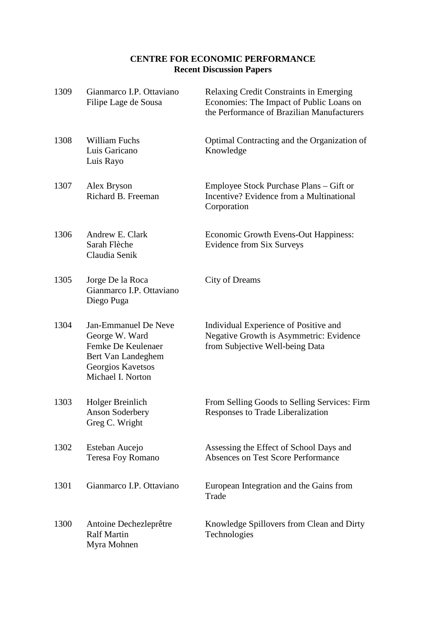### **CENTRE FOR ECONOMIC PERFORMANCE Recent Discussion Papers**

| 1309 | Gianmarco I.P. Ottaviano<br>Filipe Lage de Sousa                                                                             | Relaxing Credit Constraints in Emerging<br>Economies: The Impact of Public Loans on<br>the Performance of Brazilian Manufacturers |
|------|------------------------------------------------------------------------------------------------------------------------------|-----------------------------------------------------------------------------------------------------------------------------------|
| 1308 | <b>William Fuchs</b><br>Luis Garicano<br>Luis Rayo                                                                           | Optimal Contracting and the Organization of<br>Knowledge                                                                          |
| 1307 | Alex Bryson<br>Richard B. Freeman                                                                                            | Employee Stock Purchase Plans – Gift or<br>Incentive? Evidence from a Multinational<br>Corporation                                |
| 1306 | Andrew E. Clark<br>Sarah Flèche<br>Claudia Senik                                                                             | Economic Growth Evens-Out Happiness:<br><b>Evidence from Six Surveys</b>                                                          |
| 1305 | Jorge De la Roca<br>Gianmarco I.P. Ottaviano<br>Diego Puga                                                                   | City of Dreams                                                                                                                    |
| 1304 | Jan-Emmanuel De Neve<br>George W. Ward<br>Femke De Keulenaer<br>Bert Van Landeghem<br>Georgios Kavetsos<br>Michael I. Norton | Individual Experience of Positive and<br>Negative Growth is Asymmetric: Evidence<br>from Subjective Well-being Data               |
| 1303 | Holger Breinlich<br><b>Anson Soderbery</b><br>Greg C. Wright                                                                 | From Selling Goods to Selling Services: Firm<br>Responses to Trade Liberalization                                                 |
| 1302 | Esteban Aucejo<br>Teresa Foy Romano                                                                                          | Assessing the Effect of School Days and<br><b>Absences on Test Score Performance</b>                                              |
| 1301 | Gianmarco I.P. Ottaviano                                                                                                     | European Integration and the Gains from<br>Trade                                                                                  |
| 1300 | Antoine Dechezleprêtre<br><b>Ralf Martin</b><br>Myra Mohnen                                                                  | Knowledge Spillovers from Clean and Dirty<br>Technologies                                                                         |